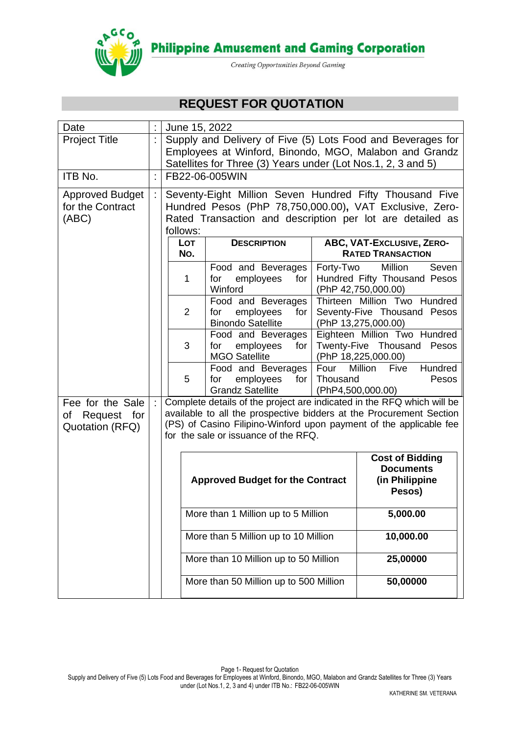

**Philippine Amusement and Gaming Corporation** 

Creating Opportunities Beyond Gaming

# **REQUEST FOR QUOTATION**

| Date                              |    | June 15, 2022                                                                                                                             |                                                        |                                                                        |           |                                                      |
|-----------------------------------|----|-------------------------------------------------------------------------------------------------------------------------------------------|--------------------------------------------------------|------------------------------------------------------------------------|-----------|------------------------------------------------------|
| <b>Project Title</b>              |    | Supply and Delivery of Five (5) Lots Food and Beverages for                                                                               |                                                        |                                                                        |           |                                                      |
|                                   |    |                                                                                                                                           | Employees at Winford, Binondo, MGO, Malabon and Grandz |                                                                        |           |                                                      |
|                                   |    |                                                                                                                                           |                                                        | Satellites for Three (3) Years under (Lot Nos.1, 2, 3 and 5)           |           |                                                      |
| ITB No.                           | ł, |                                                                                                                                           |                                                        | FB22-06-005WIN                                                         |           |                                                      |
| <b>Approved Budget</b>            | t. |                                                                                                                                           |                                                        | Seventy-Eight Million Seven Hundred Fifty Thousand Five                |           |                                                      |
| for the Contract                  |    |                                                                                                                                           |                                                        | Hundred Pesos (PhP 78,750,000.00), VAT Exclusive, Zero-                |           |                                                      |
| (ABC)                             |    |                                                                                                                                           | follows:                                               | Rated Transaction and description per lot are detailed as              |           |                                                      |
|                                   |    |                                                                                                                                           | <b>LOT</b>                                             | <b>DESCRIPTION</b>                                                     |           | ABC, VAT-Exclusive, ZERO-                            |
|                                   |    |                                                                                                                                           | No.                                                    |                                                                        |           | <b>RATED TRANSACTION</b>                             |
|                                   |    |                                                                                                                                           |                                                        | Food and Beverages                                                     | Forty-Two | Million<br>Seven                                     |
|                                   |    |                                                                                                                                           | 1                                                      | for<br>employees<br>for                                                |           | Hundred Fifty Thousand Pesos                         |
|                                   |    |                                                                                                                                           |                                                        | Winford<br>Food and Beverages                                          |           | (PhP 42,750,000.00)<br>Thirteen Million Two Hundred  |
|                                   |    |                                                                                                                                           | $\overline{2}$                                         | for<br>employees<br>for $ $                                            |           | Seventy-Five Thousand Pesos                          |
|                                   |    |                                                                                                                                           |                                                        | <b>Binondo Satellite</b>                                               |           | (PhP 13,275,000.00)                                  |
|                                   |    |                                                                                                                                           |                                                        | Food and Beverages                                                     |           | Eighteen Million Two Hundred                         |
|                                   |    |                                                                                                                                           | 3                                                      | employees<br>for<br>for $ $<br><b>MGO Satellite</b>                    |           | Twenty-Five Thousand<br>Pesos<br>(PhP 18,225,000.00) |
|                                   |    |                                                                                                                                           |                                                        | Food and Beverages                                                     | Four      | Hundred<br>Million Five                              |
|                                   |    |                                                                                                                                           | 5                                                      | employees<br>for $ $<br>for                                            | Thousand  | Pesos                                                |
|                                   |    |                                                                                                                                           |                                                        | <b>Grandz Satellite</b>                                                |           | (PhP4,500,000.00)                                    |
| Fee for the Sale                  | ÷  |                                                                                                                                           |                                                        | Complete details of the project are indicated in the RFQ which will be |           |                                                      |
| of Request for<br>Quotation (RFQ) |    | available to all the prospective bidders at the Procurement Section<br>(PS) of Casino Filipino-Winford upon payment of the applicable fee |                                                        |                                                                        |           |                                                      |
|                                   |    | for the sale or issuance of the RFQ.                                                                                                      |                                                        |                                                                        |           |                                                      |
|                                   |    |                                                                                                                                           |                                                        |                                                                        |           |                                                      |
|                                   |    |                                                                                                                                           |                                                        |                                                                        |           | <b>Cost of Bidding</b><br><b>Documents</b>           |
|                                   |    | <b>Approved Budget for the Contract</b><br>(in Philippine                                                                                 |                                                        |                                                                        |           |                                                      |
|                                   |    |                                                                                                                                           |                                                        |                                                                        |           | Pesos)                                               |
|                                   |    |                                                                                                                                           |                                                        |                                                                        |           |                                                      |
|                                   |    |                                                                                                                                           |                                                        | More than 1 Million up to 5 Million                                    |           | 5,000.00                                             |
|                                   |    | More than 5 Million up to 10 Million<br>10,000.00                                                                                         |                                                        |                                                                        |           |                                                      |
|                                   |    | More than 10 Million up to 50 Million<br>25,00000                                                                                         |                                                        |                                                                        |           |                                                      |
|                                   |    |                                                                                                                                           | More than 50 Million up to 500 Million<br>50,00000     |                                                                        |           |                                                      |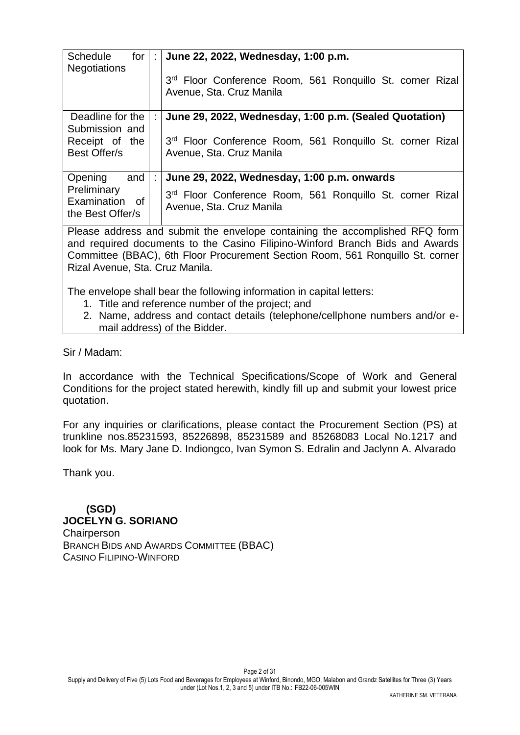| <b>Schedule</b><br>for I<br><b>Negotiations</b>   | ÷ | June 22, 2022, Wednesday, 1:00 p.m.                                                   |  |  |  |
|---------------------------------------------------|---|---------------------------------------------------------------------------------------|--|--|--|
|                                                   |   | 3rd Floor Conference Room, 561 Ronquillo St. corner Rizal<br>Avenue, Sta. Cruz Manila |  |  |  |
| Deadline for the<br>Submission and                |   | June 29, 2022, Wednesday, 1:00 p.m. (Sealed Quotation)                                |  |  |  |
| Receipt of the<br>Best Offer/s                    |   | 3rd Floor Conference Room, 561 Ronquillo St. corner Rizal<br>Avenue, Sta. Cruz Manila |  |  |  |
| and<br>Opening                                    | ÷ | June 29, 2022, Wednesday, 1:00 p.m. onwards                                           |  |  |  |
| Preliminary<br>Examination of<br>the Best Offer/s |   | 3rd Floor Conference Room, 561 Ronquillo St. corner Rizal<br>Avenue, Sta. Cruz Manila |  |  |  |

Please address and submit the envelope containing the accomplished RFQ form and required documents to the Casino Filipino-Winford Branch Bids and Awards Committee (BBAC), 6th Floor Procurement Section Room, 561 Ronquillo St. corner Rizal Avenue, Sta. Cruz Manila.

The envelope shall bear the following information in capital letters:

- 1. Title and reference number of the project; and
- 2. Name, address and contact details (telephone/cellphone numbers and/or email address) of the Bidder.

Sir / Madam:

In accordance with the Technical Specifications/Scope of Work and General Conditions for the project stated herewith, kindly fill up and submit your lowest price quotation.

For any inquiries or clarifications, please contact the Procurement Section (PS) at trunkline nos.85231593, 85226898, 85231589 and 85268083 Local No.1217 and look for Ms. Mary Jane D. Indiongco, Ivan Symon S. Edralin and Jaclynn A. Alvarado

Thank you.

 **(SGD) JOCELYN G. SORIANO Chairperson** BRANCH BIDS AND AWARDS COMMITTEE (BBAC) CASINO FILIPINO-WINFORD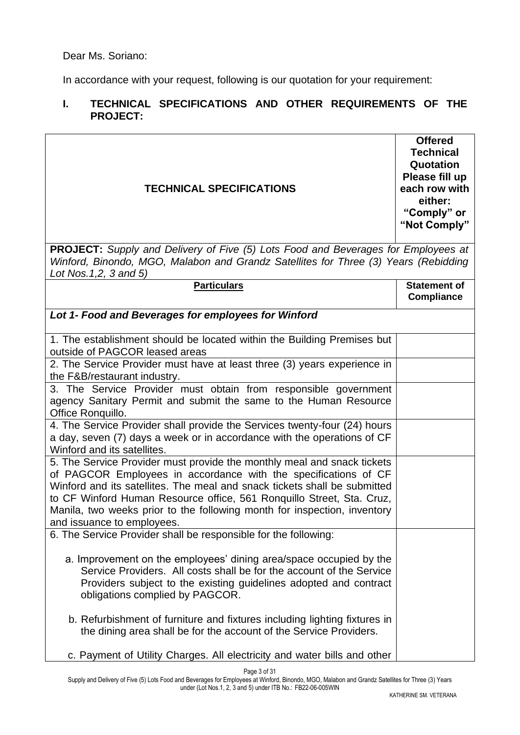In accordance with your request, following is our quotation for your requirement:

## **I. TECHNICAL SPECIFICATIONS AND OTHER REQUIREMENTS OF THE PROJECT:**

| <b>TECHNICAL SPECIFICATIONS</b>                                                                                                                                                                                                                                                                                                                                                                            | <b>Offered</b><br><b>Technical</b><br>Quotation<br>Please fill up<br>each row with<br>either:<br>"Comply" or<br>"Not Comply" |
|------------------------------------------------------------------------------------------------------------------------------------------------------------------------------------------------------------------------------------------------------------------------------------------------------------------------------------------------------------------------------------------------------------|------------------------------------------------------------------------------------------------------------------------------|
| <b>PROJECT:</b> Supply and Delivery of Five (5) Lots Food and Beverages for Employees at<br>Winford, Binondo, MGO, Malabon and Grandz Satellites for Three (3) Years (Rebidding<br>Lot Nos. 1,2, 3 and 5)                                                                                                                                                                                                  |                                                                                                                              |
| <b>Particulars</b>                                                                                                                                                                                                                                                                                                                                                                                         | <b>Statement of</b><br><b>Compliance</b>                                                                                     |
| Lot 1- Food and Beverages for employees for Winford                                                                                                                                                                                                                                                                                                                                                        |                                                                                                                              |
| 1. The establishment should be located within the Building Premises but<br>outside of PAGCOR leased areas                                                                                                                                                                                                                                                                                                  |                                                                                                                              |
| 2. The Service Provider must have at least three (3) years experience in<br>the F&B/restaurant industry.                                                                                                                                                                                                                                                                                                   |                                                                                                                              |
| 3. The Service Provider must obtain from responsible government<br>agency Sanitary Permit and submit the same to the Human Resource<br>Office Ronquillo.                                                                                                                                                                                                                                                   |                                                                                                                              |
| 4. The Service Provider shall provide the Services twenty-four (24) hours<br>a day, seven (7) days a week or in accordance with the operations of CF<br>Winford and its satellites.                                                                                                                                                                                                                        |                                                                                                                              |
| 5. The Service Provider must provide the monthly meal and snack tickets<br>of PAGCOR Employees in accordance with the specifications of CF<br>Winford and its satellites. The meal and snack tickets shall be submitted<br>to CF Winford Human Resource office, 561 Ronquillo Street, Sta. Cruz,<br>Manila, two weeks prior to the following month for inspection, inventory<br>and issuance to employees. |                                                                                                                              |
| 6. The Service Provider shall be responsible for the following:                                                                                                                                                                                                                                                                                                                                            |                                                                                                                              |
| a. Improvement on the employees' dining area/space occupied by the<br>Service Providers. All costs shall be for the account of the Service<br>Providers subject to the existing guidelines adopted and contract<br>obligations complied by PAGCOR.                                                                                                                                                         |                                                                                                                              |
| b. Refurbishment of furniture and fixtures including lighting fixtures in<br>the dining area shall be for the account of the Service Providers.                                                                                                                                                                                                                                                            |                                                                                                                              |
| c. Payment of Utility Charges. All electricity and water bills and other                                                                                                                                                                                                                                                                                                                                   |                                                                                                                              |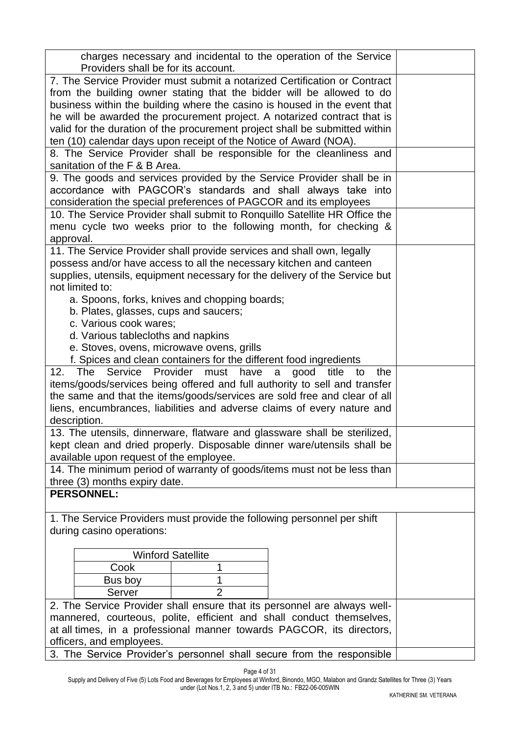| charges necessary and incidental to the operation of the Service<br>Providers shall be for its account. |  |  |  |  |  |  |
|---------------------------------------------------------------------------------------------------------|--|--|--|--|--|--|
|                                                                                                         |  |  |  |  |  |  |
| 7. The Service Provider must submit a notarized Certification or Contract                               |  |  |  |  |  |  |
| from the building owner stating that the bidder will be allowed to do                                   |  |  |  |  |  |  |
| business within the building where the casino is housed in the event that                               |  |  |  |  |  |  |
| he will be awarded the procurement project. A notarized contract that is                                |  |  |  |  |  |  |
| valid for the duration of the procurement project shall be submitted within                             |  |  |  |  |  |  |
| ten (10) calendar days upon receipt of the Notice of Award (NOA).                                       |  |  |  |  |  |  |
| 8. The Service Provider shall be responsible for the cleanliness and<br>sanitation of the F & B Area.   |  |  |  |  |  |  |
|                                                                                                         |  |  |  |  |  |  |
| 9. The goods and services provided by the Service Provider shall be in                                  |  |  |  |  |  |  |
| accordance with PAGCOR's standards and shall always take into                                           |  |  |  |  |  |  |
| consideration the special preferences of PAGCOR and its employees                                       |  |  |  |  |  |  |
| 10. The Service Provider shall submit to Ronquillo Satellite HR Office the                              |  |  |  |  |  |  |
| menu cycle two weeks prior to the following month, for checking &                                       |  |  |  |  |  |  |
| approval.                                                                                               |  |  |  |  |  |  |
| 11. The Service Provider shall provide services and shall own, legally                                  |  |  |  |  |  |  |
| possess and/or have access to all the necessary kitchen and canteen                                     |  |  |  |  |  |  |
| supplies, utensils, equipment necessary for the delivery of the Service but                             |  |  |  |  |  |  |
| not limited to:                                                                                         |  |  |  |  |  |  |
| a. Spoons, forks, knives and chopping boards;                                                           |  |  |  |  |  |  |
| b. Plates, glasses, cups and saucers;                                                                   |  |  |  |  |  |  |
| c. Various cook wares;                                                                                  |  |  |  |  |  |  |
| d. Various tablecloths and napkins                                                                      |  |  |  |  |  |  |
| e. Stoves, ovens, microwave ovens, grills                                                               |  |  |  |  |  |  |
| f. Spices and clean containers for the different food ingredients                                       |  |  |  |  |  |  |
| 12.<br>The<br>Service<br>Provider<br>have<br>title<br>must<br>good<br>the<br>a<br>to                    |  |  |  |  |  |  |
| items/goods/services being offered and full authority to sell and transfer                              |  |  |  |  |  |  |
| the same and that the items/goods/services are sold free and clear of all                               |  |  |  |  |  |  |
| liens, encumbrances, liabilities and adverse claims of every nature and                                 |  |  |  |  |  |  |
| description.                                                                                            |  |  |  |  |  |  |
| 13. The utensils, dinnerware, flatware and glassware shall be sterilized,                               |  |  |  |  |  |  |
| kept clean and dried properly. Disposable dinner ware/utensils shall be                                 |  |  |  |  |  |  |
| available upon request of the employee.                                                                 |  |  |  |  |  |  |
| 14. The minimum period of warranty of goods/items must not be less than                                 |  |  |  |  |  |  |
| three (3) months expiry date.                                                                           |  |  |  |  |  |  |
| <b>PERSONNEL:</b>                                                                                       |  |  |  |  |  |  |
|                                                                                                         |  |  |  |  |  |  |
| 1. The Service Providers must provide the following personnel per shift                                 |  |  |  |  |  |  |
| during casino operations:                                                                               |  |  |  |  |  |  |
|                                                                                                         |  |  |  |  |  |  |
| <b>Winford Satellite</b>                                                                                |  |  |  |  |  |  |
| Cook<br>1                                                                                               |  |  |  |  |  |  |
| 1<br>Bus boy                                                                                            |  |  |  |  |  |  |
| $\overline{2}$<br>Server                                                                                |  |  |  |  |  |  |
| 2. The Service Provider shall ensure that its personnel are always well-                                |  |  |  |  |  |  |
| mannered, courteous, polite, efficient and shall conduct themselves,                                    |  |  |  |  |  |  |
| at all times, in a professional manner towards PAGCOR, its directors,                                   |  |  |  |  |  |  |
| officers, and employees.                                                                                |  |  |  |  |  |  |
| 3. The Service Provider's personnel shall secure from the responsible                                   |  |  |  |  |  |  |

Page 4 of 31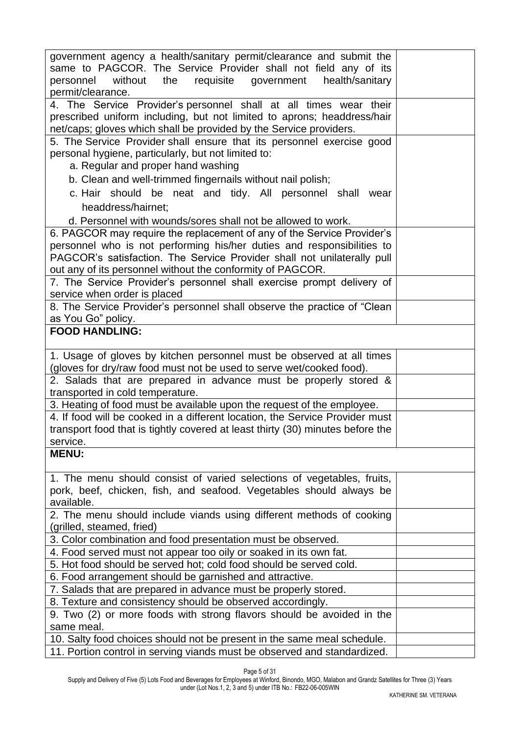Page 5 of 31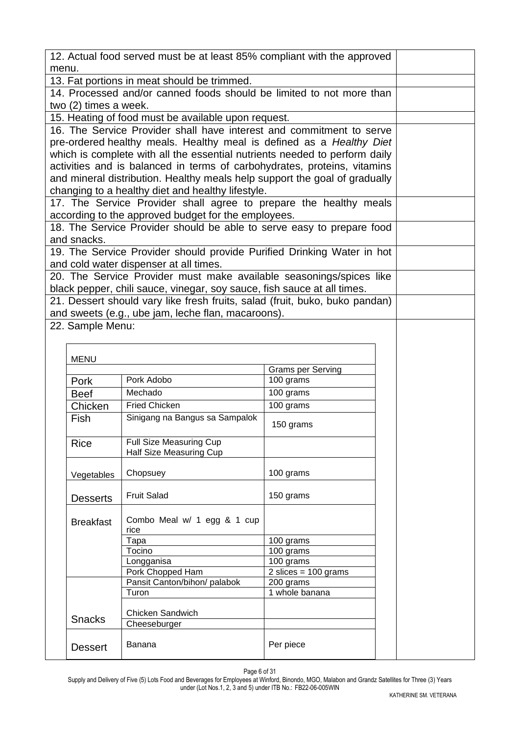|       |                       | 12. Actual food served must be at least 85% compliant with the approved                                                                                |                                        |  |  |
|-------|-----------------------|--------------------------------------------------------------------------------------------------------------------------------------------------------|----------------------------------------|--|--|
| menu. |                       | 13. Fat portions in meat should be trimmed.                                                                                                            |                                        |  |  |
|       |                       | 14. Processed and/or canned foods should be limited to not more than                                                                                   |                                        |  |  |
|       | two (2) times a week. |                                                                                                                                                        |                                        |  |  |
|       |                       | 15. Heating of food must be available upon request.                                                                                                    |                                        |  |  |
|       |                       | 16. The Service Provider shall have interest and commitment to serve                                                                                   |                                        |  |  |
|       |                       | pre-ordered healthy meals. Healthy meal is defined as a Healthy Diet                                                                                   |                                        |  |  |
|       |                       | which is complete with all the essential nutrients needed to perform daily                                                                             |                                        |  |  |
|       |                       | activities and is balanced in terms of carbohydrates, proteins, vitamins                                                                               |                                        |  |  |
|       |                       | and mineral distribution. Healthy meals help support the goal of gradually                                                                             |                                        |  |  |
|       |                       | changing to a healthy diet and healthy lifestyle.                                                                                                      |                                        |  |  |
|       |                       | 17. The Service Provider shall agree to prepare the healthy meals                                                                                      |                                        |  |  |
|       |                       | according to the approved budget for the employees.                                                                                                    |                                        |  |  |
|       |                       | 18. The Service Provider should be able to serve easy to prepare food                                                                                  |                                        |  |  |
|       | and snacks.           |                                                                                                                                                        |                                        |  |  |
|       |                       | 19. The Service Provider should provide Purified Drinking Water in hot                                                                                 |                                        |  |  |
|       |                       | and cold water dispenser at all times.                                                                                                                 |                                        |  |  |
|       |                       | 20. The Service Provider must make available seasonings/spices like                                                                                    |                                        |  |  |
|       |                       |                                                                                                                                                        |                                        |  |  |
|       |                       | black pepper, chili sauce, vinegar, soy sauce, fish sauce at all times.<br>21. Dessert should vary like fresh fruits, salad (fruit, buko, buko pandan) |                                        |  |  |
|       |                       |                                                                                                                                                        |                                        |  |  |
|       | 22. Sample Menu:      | and sweets (e.g., ube jam, leche flan, macaroons).                                                                                                     |                                        |  |  |
|       |                       |                                                                                                                                                        |                                        |  |  |
|       |                       |                                                                                                                                                        |                                        |  |  |
|       | <b>MENU</b>           |                                                                                                                                                        |                                        |  |  |
|       |                       |                                                                                                                                                        | <b>Grams per Serving</b>               |  |  |
|       | Pork                  | Pork Adobo                                                                                                                                             | 100 grams                              |  |  |
|       | <b>Beef</b>           | Mechado                                                                                                                                                | 100 grams                              |  |  |
|       | Chicken               | <b>Fried Chicken</b>                                                                                                                                   | 100 grams                              |  |  |
|       | Fish                  | Sinigang na Bangus sa Sampalok                                                                                                                         | 150 grams                              |  |  |
|       |                       |                                                                                                                                                        |                                        |  |  |
|       | <b>Rice</b>           | <b>Full Size Measuring Cup</b>                                                                                                                         |                                        |  |  |
|       |                       | Half Size Measuring Cup                                                                                                                                |                                        |  |  |
|       |                       | Chopsuey                                                                                                                                               | 100 grams                              |  |  |
|       | Vegetables            |                                                                                                                                                        |                                        |  |  |
|       |                       | <b>Fruit Salad</b>                                                                                                                                     | 150 grams                              |  |  |
|       | <b>Desserts</b>       |                                                                                                                                                        |                                        |  |  |
|       | <b>Breakfast</b>      | Combo Meal w/ 1 egg & 1 cup                                                                                                                            |                                        |  |  |
|       |                       | rice                                                                                                                                                   |                                        |  |  |
|       |                       | Tapa                                                                                                                                                   | 100 grams                              |  |  |
|       |                       | Tocino                                                                                                                                                 | 100 grams                              |  |  |
|       |                       | Longganisa                                                                                                                                             | 100 grams                              |  |  |
|       |                       | Pork Chopped Ham                                                                                                                                       | $2 \text{ slices} = 100 \text{ grams}$ |  |  |
|       |                       | Pansit Canton/bihon/ palabok<br>Turon                                                                                                                  | 200 grams<br>1 whole banana            |  |  |
|       |                       |                                                                                                                                                        |                                        |  |  |
|       | <b>Snacks</b>         | Chicken Sandwich                                                                                                                                       |                                        |  |  |
|       |                       |                                                                                                                                                        |                                        |  |  |
|       |                       |                                                                                                                                                        |                                        |  |  |
|       | <b>Dessert</b>        | Banana                                                                                                                                                 | Per piece                              |  |  |
|       |                       |                                                                                                                                                        |                                        |  |  |

Page 6 of 31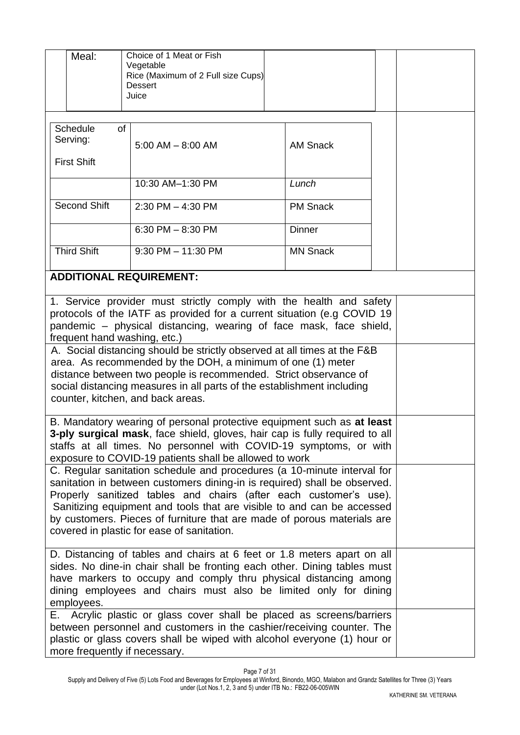| Meal:                                                                                                                                                                                                                                                                                                                                                                                                                        | Choice of 1 Meat or Fish<br>Vegetable<br>Rice (Maximum of 2 Full size Cups)<br>Dessert<br>Juice                                                                                                                                                      |                 |  |  |  |  |  |
|------------------------------------------------------------------------------------------------------------------------------------------------------------------------------------------------------------------------------------------------------------------------------------------------------------------------------------------------------------------------------------------------------------------------------|------------------------------------------------------------------------------------------------------------------------------------------------------------------------------------------------------------------------------------------------------|-----------------|--|--|--|--|--|
| Schedule<br>Serving:<br><b>First Shift</b>                                                                                                                                                                                                                                                                                                                                                                                   | of<br>$5:00$ AM $-$ 8:00 AM                                                                                                                                                                                                                          | <b>AM Snack</b> |  |  |  |  |  |
|                                                                                                                                                                                                                                                                                                                                                                                                                              | 10:30 AM-1:30 PM                                                                                                                                                                                                                                     | Lunch           |  |  |  |  |  |
|                                                                                                                                                                                                                                                                                                                                                                                                                              |                                                                                                                                                                                                                                                      |                 |  |  |  |  |  |
| <b>Second Shift</b>                                                                                                                                                                                                                                                                                                                                                                                                          | $2:30$ PM $-$ 4:30 PM                                                                                                                                                                                                                                | <b>PM Snack</b> |  |  |  |  |  |
|                                                                                                                                                                                                                                                                                                                                                                                                                              | 6:30 PM $-$ 8:30 PM                                                                                                                                                                                                                                  | <b>Dinner</b>   |  |  |  |  |  |
| <b>Third Shift</b>                                                                                                                                                                                                                                                                                                                                                                                                           | $9:30$ PM $-11:30$ PM                                                                                                                                                                                                                                | <b>MN Snack</b> |  |  |  |  |  |
|                                                                                                                                                                                                                                                                                                                                                                                                                              | <b>ADDITIONAL REQUIREMENT:</b>                                                                                                                                                                                                                       |                 |  |  |  |  |  |
|                                                                                                                                                                                                                                                                                                                                                                                                                              | 1. Service provider must strictly comply with the health and safety<br>protocols of the IATF as provided for a current situation (e.g COVID 19<br>pandemic – physical distancing, wearing of face mask, face shield,<br>frequent hand washing, etc.) |                 |  |  |  |  |  |
| A. Social distancing should be strictly observed at all times at the F&B<br>area. As recommended by the DOH, a minimum of one (1) meter<br>distance between two people is recommended. Strict observance of<br>social distancing measures in all parts of the establishment including<br>counter, kitchen, and back areas.                                                                                                   |                                                                                                                                                                                                                                                      |                 |  |  |  |  |  |
| B. Mandatory wearing of personal protective equipment such as at least<br>3-ply surgical mask, face shield, gloves, hair cap is fully required to all<br>staffs at all times. No personnel with COVID-19 symptoms, or with<br>exposure to COVID-19 patients shall be allowed to work                                                                                                                                         |                                                                                                                                                                                                                                                      |                 |  |  |  |  |  |
| C. Regular sanitation schedule and procedures (a 10-minute interval for<br>sanitation in between customers dining-in is required) shall be observed.<br>Properly sanitized tables and chairs (after each customer's use).<br>Sanitizing equipment and tools that are visible to and can be accessed<br>by customers. Pieces of furniture that are made of porous materials are<br>covered in plastic for ease of sanitation. |                                                                                                                                                                                                                                                      |                 |  |  |  |  |  |
| D. Distancing of tables and chairs at 6 feet or 1.8 meters apart on all<br>sides. No dine-in chair shall be fronting each other. Dining tables must<br>have markers to occupy and comply thru physical distancing among<br>dining employees and chairs must also be limited only for dining<br>employees.                                                                                                                    |                                                                                                                                                                                                                                                      |                 |  |  |  |  |  |
| E. Acrylic plastic or glass cover shall be placed as screens/barriers<br>between personnel and customers in the cashier/receiving counter. The<br>plastic or glass covers shall be wiped with alcohol everyone (1) hour or<br>more frequently if necessary.                                                                                                                                                                  |                                                                                                                                                                                                                                                      |                 |  |  |  |  |  |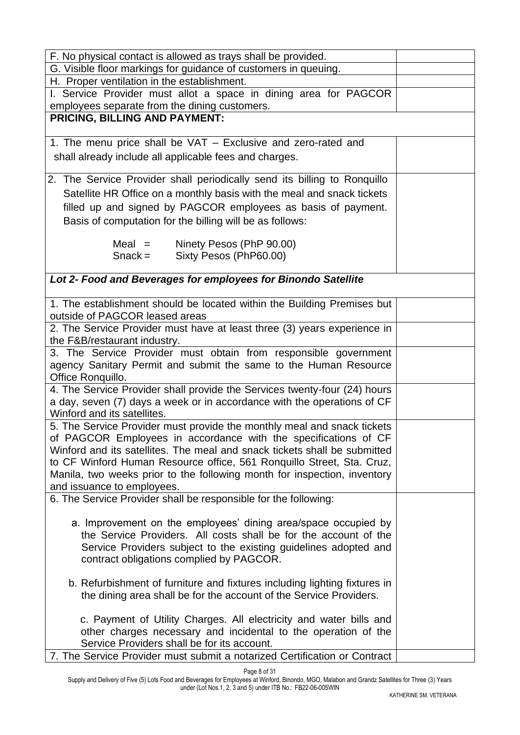| F. No physical contact is allowed as trays shall be provided.             |  |
|---------------------------------------------------------------------------|--|
| G. Visible floor markings for guidance of customers in queuing.           |  |
| H. Proper ventilation in the establishment.                               |  |
| I. Service Provider must allot a space in dining area for PAGCOR          |  |
| employees separate from the dining customers.                             |  |
| <b>PRICING, BILLING AND PAYMENT:</b>                                      |  |
|                                                                           |  |
| 1. The menu price shall be VAT - Exclusive and zero-rated and             |  |
| shall already include all applicable fees and charges.                    |  |
|                                                                           |  |
| 2. The Service Provider shall periodically send its billing to Ronquillo  |  |
| Satellite HR Office on a monthly basis with the meal and snack tickets    |  |
| filled up and signed by PAGCOR employees as basis of payment.             |  |
| Basis of computation for the billing will be as follows:                  |  |
|                                                                           |  |
| $Mean =$<br>Ninety Pesos (PhP 90.00)                                      |  |
| Sixty Pesos (PhP60.00)<br>$Snack =$                                       |  |
|                                                                           |  |
| Lot 2- Food and Beverages for employees for Binondo Satellite             |  |
|                                                                           |  |
| 1. The establishment should be located within the Building Premises but   |  |
| outside of PAGCOR leased areas                                            |  |
| 2. The Service Provider must have at least three (3) years experience in  |  |
| the F&B/restaurant industry.                                              |  |
| 3. The Service Provider must obtain from responsible government           |  |
| agency Sanitary Permit and submit the same to the Human Resource          |  |
| Office Ronquillo.                                                         |  |
| 4. The Service Provider shall provide the Services twenty-four (24) hours |  |
| a day, seven (7) days a week or in accordance with the operations of CF   |  |
| Winford and its satellites.                                               |  |
| 5. The Service Provider must provide the monthly meal and snack tickets   |  |
| of PAGCOR Employees in accordance with the specifications of CF           |  |
| Winford and its satellites. The meal and snack tickets shall be submitted |  |
| to CF Winford Human Resource office, 561 Ronquillo Street, Sta. Cruz,     |  |
| Manila, two weeks prior to the following month for inspection, inventory  |  |
| and issuance to employees.                                                |  |
| 6. The Service Provider shall be responsible for the following:           |  |
|                                                                           |  |
| a. Improvement on the employees' dining area/space occupied by            |  |
| the Service Providers. All costs shall be for the account of the          |  |
| Service Providers subject to the existing guidelines adopted and          |  |
| contract obligations complied by PAGCOR.                                  |  |
|                                                                           |  |
| b. Refurbishment of furniture and fixtures including lighting fixtures in |  |
| the dining area shall be for the account of the Service Providers.        |  |
|                                                                           |  |
| c. Payment of Utility Charges. All electricity and water bills and        |  |
| other charges necessary and incidental to the operation of the            |  |
| Service Providers shall be for its account.                               |  |
| 7. The Service Provider must submit a notarized Certification or Contract |  |

Page 8 of 31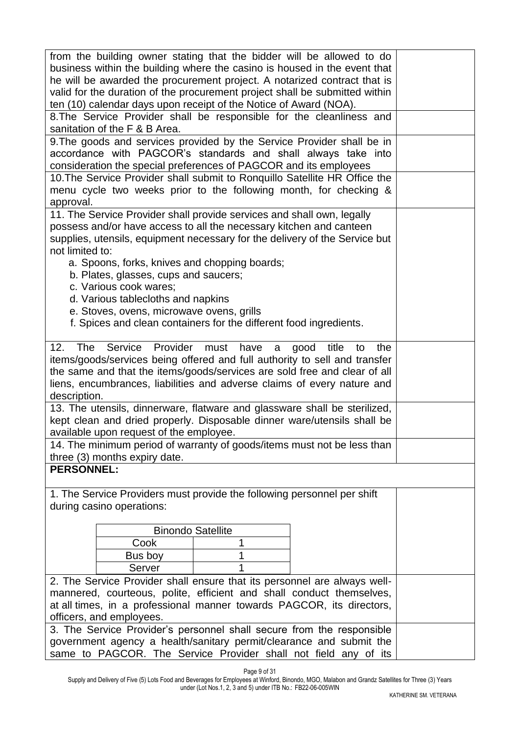| from the building owner stating that the bidder will be allowed to do<br>business within the building where the casino is housed in the event that<br>he will be awarded the procurement project. A notarized contract that is                                                                                                    |  |  |  |  |  |  |  |
|-----------------------------------------------------------------------------------------------------------------------------------------------------------------------------------------------------------------------------------------------------------------------------------------------------------------------------------|--|--|--|--|--|--|--|
| valid for the duration of the procurement project shall be submitted within<br>ten (10) calendar days upon receipt of the Notice of Award (NOA).                                                                                                                                                                                  |  |  |  |  |  |  |  |
| 8. The Service Provider shall be responsible for the cleanliness and<br>sanitation of the F & B Area.                                                                                                                                                                                                                             |  |  |  |  |  |  |  |
| 9. The goods and services provided by the Service Provider shall be in                                                                                                                                                                                                                                                            |  |  |  |  |  |  |  |
| accordance with PAGCOR's standards and shall always take into<br>consideration the special preferences of PAGCOR and its employees                                                                                                                                                                                                |  |  |  |  |  |  |  |
| 10. The Service Provider shall submit to Ronquillo Satellite HR Office the<br>menu cycle two weeks prior to the following month, for checking &<br>approval.                                                                                                                                                                      |  |  |  |  |  |  |  |
| 11. The Service Provider shall provide services and shall own, legally<br>possess and/or have access to all the necessary kitchen and canteen<br>supplies, utensils, equipment necessary for the delivery of the Service but<br>not limited to:                                                                                   |  |  |  |  |  |  |  |
| a. Spoons, forks, knives and chopping boards;<br>b. Plates, glasses, cups and saucers;<br>c. Various cook wares;                                                                                                                                                                                                                  |  |  |  |  |  |  |  |
| d. Various tablecloths and napkins<br>e. Stoves, ovens, microwave ovens, grills<br>f. Spices and clean containers for the different food ingredients.                                                                                                                                                                             |  |  |  |  |  |  |  |
| <b>The</b><br>Provider<br>12.<br>Service<br>must<br>have<br>good<br>title<br>the<br>a<br>to<br>items/goods/services being offered and full authority to sell and transfer<br>the same and that the items/goods/services are sold free and clear of all<br>liens, encumbrances, liabilities and adverse claims of every nature and |  |  |  |  |  |  |  |
| description.<br>13. The utensils, dinnerware, flatware and glassware shall be sterilized,                                                                                                                                                                                                                                         |  |  |  |  |  |  |  |
| kept clean and dried properly. Disposable dinner ware/utensils shall be<br>available upon request of the employee.                                                                                                                                                                                                                |  |  |  |  |  |  |  |
| 14. The minimum period of warranty of goods/items must not be less than                                                                                                                                                                                                                                                           |  |  |  |  |  |  |  |
| three (3) months expiry date.                                                                                                                                                                                                                                                                                                     |  |  |  |  |  |  |  |
| <b>PERSONNEL:</b>                                                                                                                                                                                                                                                                                                                 |  |  |  |  |  |  |  |
| 1. The Service Providers must provide the following personnel per shift<br>during casino operations:                                                                                                                                                                                                                              |  |  |  |  |  |  |  |
| <b>Binondo Satellite</b>                                                                                                                                                                                                                                                                                                          |  |  |  |  |  |  |  |
| Cook                                                                                                                                                                                                                                                                                                                              |  |  |  |  |  |  |  |
| Bus boy                                                                                                                                                                                                                                                                                                                           |  |  |  |  |  |  |  |
| Server                                                                                                                                                                                                                                                                                                                            |  |  |  |  |  |  |  |
| 2. The Service Provider shall ensure that its personnel are always well-                                                                                                                                                                                                                                                          |  |  |  |  |  |  |  |
| mannered, courteous, polite, efficient and shall conduct themselves,                                                                                                                                                                                                                                                              |  |  |  |  |  |  |  |
| at all times, in a professional manner towards PAGCOR, its directors,<br>officers, and employees.                                                                                                                                                                                                                                 |  |  |  |  |  |  |  |
| 3. The Service Provider's personnel shall secure from the responsible                                                                                                                                                                                                                                                             |  |  |  |  |  |  |  |
| government agency a health/sanitary permit/clearance and submit the<br>same to PAGCOR. The Service Provider shall not field any of its                                                                                                                                                                                            |  |  |  |  |  |  |  |

Page 9 of 31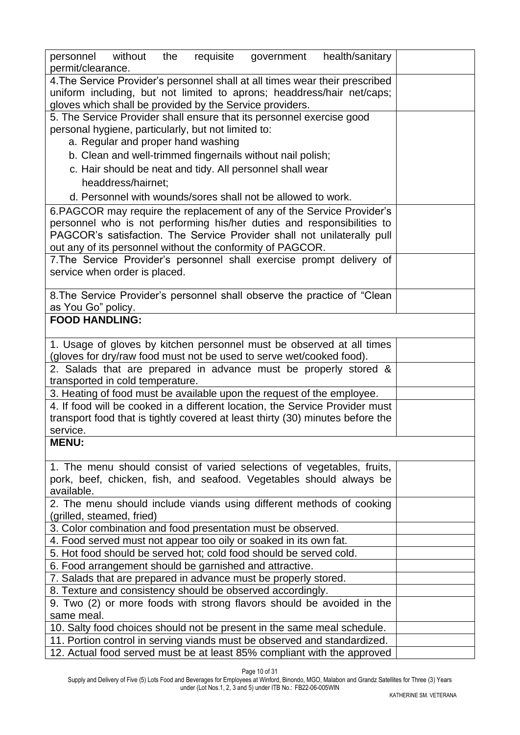| requisite government health/sanitary<br>personnel without<br>the<br>permit/clearance. |  |  |  |  |  |  |  |
|---------------------------------------------------------------------------------------|--|--|--|--|--|--|--|
| 4. The Service Provider's personnel shall at all times wear their prescribed          |  |  |  |  |  |  |  |
| uniform including, but not limited to aprons; headdress/hair net/caps;                |  |  |  |  |  |  |  |
| gloves which shall be provided by the Service providers.                              |  |  |  |  |  |  |  |
| 5. The Service Provider shall ensure that its personnel exercise good                 |  |  |  |  |  |  |  |
| personal hygiene, particularly, but not limited to:                                   |  |  |  |  |  |  |  |
|                                                                                       |  |  |  |  |  |  |  |
| a. Regular and proper hand washing                                                    |  |  |  |  |  |  |  |
| b. Clean and well-trimmed fingernails without nail polish;                            |  |  |  |  |  |  |  |
| c. Hair should be neat and tidy. All personnel shall wear                             |  |  |  |  |  |  |  |
| headdress/hairnet;                                                                    |  |  |  |  |  |  |  |
| d. Personnel with wounds/sores shall not be allowed to work.                          |  |  |  |  |  |  |  |
| 6. PAGCOR may require the replacement of any of the Service Provider's                |  |  |  |  |  |  |  |
| personnel who is not performing his/her duties and responsibilities to                |  |  |  |  |  |  |  |
| PAGCOR's satisfaction. The Service Provider shall not unilaterally pull               |  |  |  |  |  |  |  |
| out any of its personnel without the conformity of PAGCOR.                            |  |  |  |  |  |  |  |
| 7. The Service Provider's personnel shall exercise prompt delivery of                 |  |  |  |  |  |  |  |
| service when order is placed.                                                         |  |  |  |  |  |  |  |
| 8. The Service Provider's personnel shall observe the practice of "Clean"             |  |  |  |  |  |  |  |
| as You Go" policy.                                                                    |  |  |  |  |  |  |  |
| <b>FOOD HANDLING:</b>                                                                 |  |  |  |  |  |  |  |
|                                                                                       |  |  |  |  |  |  |  |
| 1. Usage of gloves by kitchen personnel must be observed at all times                 |  |  |  |  |  |  |  |
| (gloves for dry/raw food must not be used to serve wet/cooked food).                  |  |  |  |  |  |  |  |
| 2. Salads that are prepared in advance must be properly stored &                      |  |  |  |  |  |  |  |
| transported in cold temperature.                                                      |  |  |  |  |  |  |  |
|                                                                                       |  |  |  |  |  |  |  |
| 3. Heating of food must be available upon the request of the employee.                |  |  |  |  |  |  |  |
| 4. If food will be cooked in a different location, the Service Provider must          |  |  |  |  |  |  |  |
| transport food that is tightly covered at least thirty (30) minutes before the        |  |  |  |  |  |  |  |
| service.<br><b>MENU:</b>                                                              |  |  |  |  |  |  |  |
|                                                                                       |  |  |  |  |  |  |  |
| 1. The menu should consist of varied selections of vegetables, fruits,                |  |  |  |  |  |  |  |
| pork, beef, chicken, fish, and seafood. Vegetables should always be                   |  |  |  |  |  |  |  |
| available.                                                                            |  |  |  |  |  |  |  |
| 2. The menu should include viands using different methods of cooking                  |  |  |  |  |  |  |  |
| (grilled, steamed, fried)                                                             |  |  |  |  |  |  |  |
| 3. Color combination and food presentation must be observed.                          |  |  |  |  |  |  |  |
|                                                                                       |  |  |  |  |  |  |  |
| 4. Food served must not appear too oily or soaked in its own fat.                     |  |  |  |  |  |  |  |
| 5. Hot food should be served hot; cold food should be served cold.                    |  |  |  |  |  |  |  |
| 6. Food arrangement should be garnished and attractive.                               |  |  |  |  |  |  |  |
| 7. Salads that are prepared in advance must be properly stored.                       |  |  |  |  |  |  |  |
| 8. Texture and consistency should be observed accordingly.                            |  |  |  |  |  |  |  |
| 9. Two (2) or more foods with strong flavors should be avoided in the                 |  |  |  |  |  |  |  |
| same meal.                                                                            |  |  |  |  |  |  |  |
| 10. Salty food choices should not be present in the same meal schedule.               |  |  |  |  |  |  |  |
| 11. Portion control in serving viands must be observed and standardized.              |  |  |  |  |  |  |  |
| 12. Actual food served must be at least 85% compliant with the approved               |  |  |  |  |  |  |  |

Page 10 of 31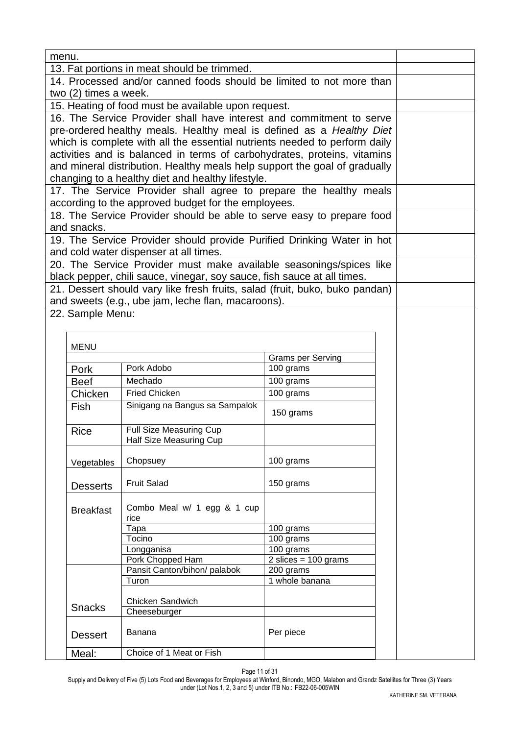| menu.                                             |                       |                                                                             |                                       |  |  |
|---------------------------------------------------|-----------------------|-----------------------------------------------------------------------------|---------------------------------------|--|--|
|                                                   |                       | 13. Fat portions in meat should be trimmed.                                 |                                       |  |  |
|                                                   |                       | 14. Processed and/or canned foods should be limited to not more than        |                                       |  |  |
|                                                   | two (2) times a week. |                                                                             |                                       |  |  |
|                                                   |                       | 15. Heating of food must be available upon request.                         |                                       |  |  |
|                                                   |                       | 16. The Service Provider shall have interest and commitment to serve        |                                       |  |  |
|                                                   |                       | pre-ordered healthy meals. Healthy meal is defined as a Healthy Diet        |                                       |  |  |
|                                                   |                       | which is complete with all the essential nutrients needed to perform daily  |                                       |  |  |
|                                                   |                       | activities and is balanced in terms of carbohydrates, proteins, vitamins    |                                       |  |  |
|                                                   |                       | and mineral distribution. Healthy meals help support the goal of gradually  |                                       |  |  |
|                                                   |                       | changing to a healthy diet and healthy lifestyle.                           |                                       |  |  |
|                                                   |                       | 17. The Service Provider shall agree to prepare the healthy meals           |                                       |  |  |
|                                                   |                       | according to the approved budget for the employees.                         |                                       |  |  |
|                                                   |                       | 18. The Service Provider should be able to serve easy to prepare food       |                                       |  |  |
|                                                   | and snacks.           |                                                                             |                                       |  |  |
|                                                   |                       | 19. The Service Provider should provide Purified Drinking Water in hot      |                                       |  |  |
|                                                   |                       | and cold water dispenser at all times.                                      |                                       |  |  |
|                                                   |                       | 20. The Service Provider must make available seasonings/spices like         |                                       |  |  |
|                                                   |                       | black pepper, chili sauce, vinegar, soy sauce, fish sauce at all times.     |                                       |  |  |
|                                                   |                       | 21. Dessert should vary like fresh fruits, salad (fruit, buko, buko pandan) |                                       |  |  |
|                                                   |                       | and sweets (e.g., ube jam, leche flan, macaroons).                          |                                       |  |  |
|                                                   | 22. Sample Menu:      |                                                                             |                                       |  |  |
|                                                   |                       |                                                                             |                                       |  |  |
|                                                   |                       |                                                                             |                                       |  |  |
|                                                   | <b>MENU</b>           |                                                                             |                                       |  |  |
|                                                   |                       | Pork Adobo                                                                  | <b>Grams per Serving</b><br>100 grams |  |  |
|                                                   | Pork<br><b>Beef</b>   | Mechado                                                                     | 100 grams                             |  |  |
|                                                   |                       | <b>Fried Chicken</b>                                                        | 100 grams                             |  |  |
|                                                   | Chicken               |                                                                             |                                       |  |  |
|                                                   | <b>Fish</b>           | Sinigang na Bangus sa Sampalok                                              | 150 grams                             |  |  |
|                                                   | <b>Rice</b>           | Full Size Measuring Cup                                                     |                                       |  |  |
|                                                   |                       | Half Size Measuring Cup                                                     |                                       |  |  |
|                                                   |                       |                                                                             |                                       |  |  |
|                                                   | Vegetables            | Chopsuey                                                                    | 100 grams                             |  |  |
|                                                   |                       |                                                                             |                                       |  |  |
|                                                   | <b>Desserts</b>       | <b>Fruit Salad</b>                                                          | 150 grams                             |  |  |
|                                                   |                       |                                                                             |                                       |  |  |
|                                                   | <b>Breakfast</b>      | Combo Meal w/ 1 egg & 1 cup                                                 |                                       |  |  |
|                                                   |                       | rice<br>Tapa                                                                | 100 grams                             |  |  |
|                                                   |                       | Tocino                                                                      | 100 grams                             |  |  |
|                                                   |                       |                                                                             |                                       |  |  |
|                                                   |                       |                                                                             |                                       |  |  |
|                                                   |                       |                                                                             |                                       |  |  |
|                                                   |                       |                                                                             |                                       |  |  |
|                                                   |                       |                                                                             |                                       |  |  |
| Chicken Sandwich<br><b>Snacks</b><br>Cheeseburger |                       |                                                                             |                                       |  |  |
|                                                   |                       |                                                                             |                                       |  |  |
|                                                   | <b>Dessert</b>        | Banana                                                                      | Per piece                             |  |  |
|                                                   | Meal:                 | Choice of 1 Meat or Fish                                                    |                                       |  |  |
|                                                   |                       |                                                                             |                                       |  |  |

Page 11 of 31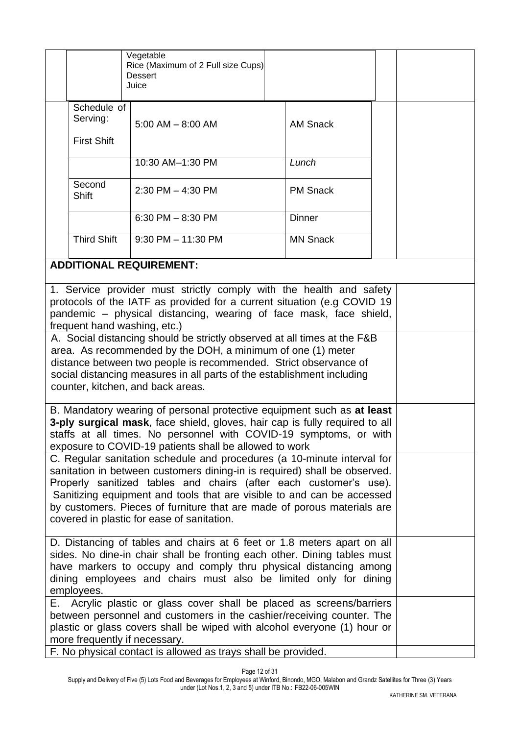|                                                                                                                                                                                                                                                                                                                                                                                                                                                                                                                                                                                    |                                                                                                                                                                                                                                                                                                           | Vegetable<br>Rice (Maximum of 2 Full size Cups)<br><b>Dessert</b><br>Juice |                 |  |  |  |
|------------------------------------------------------------------------------------------------------------------------------------------------------------------------------------------------------------------------------------------------------------------------------------------------------------------------------------------------------------------------------------------------------------------------------------------------------------------------------------------------------------------------------------------------------------------------------------|-----------------------------------------------------------------------------------------------------------------------------------------------------------------------------------------------------------------------------------------------------------------------------------------------------------|----------------------------------------------------------------------------|-----------------|--|--|--|
|                                                                                                                                                                                                                                                                                                                                                                                                                                                                                                                                                                                    | Schedule of<br>Serving:<br><b>First Shift</b>                                                                                                                                                                                                                                                             | $5:00$ AM $-$ 8:00 AM                                                      | <b>AM Snack</b> |  |  |  |
|                                                                                                                                                                                                                                                                                                                                                                                                                                                                                                                                                                                    |                                                                                                                                                                                                                                                                                                           | 10:30 AM-1:30 PM                                                           | Lunch           |  |  |  |
|                                                                                                                                                                                                                                                                                                                                                                                                                                                                                                                                                                                    | Second<br>Shift                                                                                                                                                                                                                                                                                           | $2:30$ PM $-$ 4:30 PM                                                      | <b>PM Snack</b> |  |  |  |
|                                                                                                                                                                                                                                                                                                                                                                                                                                                                                                                                                                                    |                                                                                                                                                                                                                                                                                                           | 6:30 PM $-$ 8:30 PM                                                        | <b>Dinner</b>   |  |  |  |
|                                                                                                                                                                                                                                                                                                                                                                                                                                                                                                                                                                                    | <b>Third Shift</b>                                                                                                                                                                                                                                                                                        | $9:30$ PM $-11:30$ PM                                                      | <b>MN Snack</b> |  |  |  |
|                                                                                                                                                                                                                                                                                                                                                                                                                                                                                                                                                                                    |                                                                                                                                                                                                                                                                                                           | <b>ADDITIONAL REQUIREMENT:</b>                                             |                 |  |  |  |
| 1. Service provider must strictly comply with the health and safety<br>protocols of the IATF as provided for a current situation (e.g COVID 19<br>pandemic – physical distancing, wearing of face mask, face shield,<br>frequent hand washing, etc.)<br>A. Social distancing should be strictly observed at all times at the F&B<br>area. As recommended by the DOH, a minimum of one (1) meter<br>distance between two people is recommended. Strict observance of<br>social distancing measures in all parts of the establishment including<br>counter, kitchen, and back areas. |                                                                                                                                                                                                                                                                                                           |                                                                            |                 |  |  |  |
| B. Mandatory wearing of personal protective equipment such as at least<br>3-ply surgical mask, face shield, gloves, hair cap is fully required to all<br>staffs at all times. No personnel with COVID-19 symptoms, or with<br>exposure to COVID-19 patients shall be allowed to work                                                                                                                                                                                                                                                                                               |                                                                                                                                                                                                                                                                                                           |                                                                            |                 |  |  |  |
| C. Regular sanitation schedule and procedures (a 10-minute interval for<br>sanitation in between customers dining-in is required) shall be observed.<br>Properly sanitized tables and chairs (after each customer's use).<br>Sanitizing equipment and tools that are visible to and can be accessed<br>by customers. Pieces of furniture that are made of porous materials are<br>covered in plastic for ease of sanitation.                                                                                                                                                       |                                                                                                                                                                                                                                                                                                           |                                                                            |                 |  |  |  |
|                                                                                                                                                                                                                                                                                                                                                                                                                                                                                                                                                                                    | D. Distancing of tables and chairs at 6 feet or 1.8 meters apart on all<br>sides. No dine-in chair shall be fronting each other. Dining tables must<br>have markers to occupy and comply thru physical distancing among<br>dining employees and chairs must also be limited only for dining<br>employees. |                                                                            |                 |  |  |  |
| Acrylic plastic or glass cover shall be placed as screens/barriers<br>Е.<br>between personnel and customers in the cashier/receiving counter. The<br>plastic or glass covers shall be wiped with alcohol everyone (1) hour or<br>more frequently if necessary.<br>F. No physical contact is allowed as trays shall be provided.                                                                                                                                                                                                                                                    |                                                                                                                                                                                                                                                                                                           |                                                                            |                 |  |  |  |

Page 12 of 31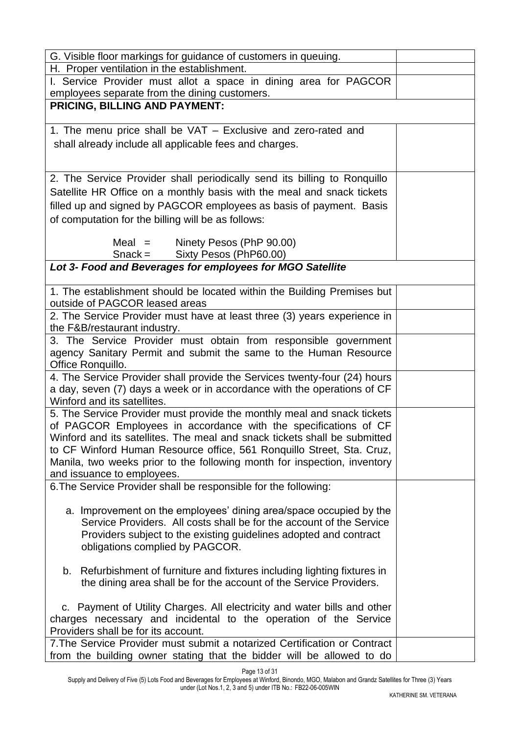| G. Visible floor markings for guidance of customers in queuing.                                                                                    |  |
|----------------------------------------------------------------------------------------------------------------------------------------------------|--|
| H. Proper ventilation in the establishment.                                                                                                        |  |
| I. Service Provider must allot a space in dining area for PAGCOR<br>employees separate from the dining customers.                                  |  |
| <b>PRICING, BILLING AND PAYMENT:</b>                                                                                                               |  |
| 1. The menu price shall be VAT - Exclusive and zero-rated and                                                                                      |  |
|                                                                                                                                                    |  |
| shall already include all applicable fees and charges.                                                                                             |  |
|                                                                                                                                                    |  |
| 2. The Service Provider shall periodically send its billing to Ronquillo                                                                           |  |
| Satellite HR Office on a monthly basis with the meal and snack tickets                                                                             |  |
| filled up and signed by PAGCOR employees as basis of payment. Basis                                                                                |  |
| of computation for the billing will be as follows:                                                                                                 |  |
|                                                                                                                                                    |  |
| $Meal =$<br>Ninety Pesos (PhP 90.00)                                                                                                               |  |
| Sixty Pesos (PhP60.00)<br>$Snack =$<br>Lot 3- Food and Beverages for employees for MGO Satellite                                                   |  |
|                                                                                                                                                    |  |
| 1. The establishment should be located within the Building Premises but                                                                            |  |
| outside of PAGCOR leased areas                                                                                                                     |  |
| 2. The Service Provider must have at least three (3) years experience in                                                                           |  |
| the F&B/restaurant industry.                                                                                                                       |  |
| 3. The Service Provider must obtain from responsible government                                                                                    |  |
| agency Sanitary Permit and submit the same to the Human Resource<br>Office Ronquillo.                                                              |  |
| 4. The Service Provider shall provide the Services twenty-four (24) hours                                                                          |  |
| a day, seven (7) days a week or in accordance with the operations of CF                                                                            |  |
| Winford and its satellites.                                                                                                                        |  |
| 5. The Service Provider must provide the monthly meal and snack tickets                                                                            |  |
| of PAGCOR Employees in accordance with the specifications of CF                                                                                    |  |
| Winford and its satellites. The meal and snack tickets shall be submitted                                                                          |  |
| to CF Winford Human Resource office, 561 Ronquillo Street, Sta. Cruz,                                                                              |  |
| Manila, two weeks prior to the following month for inspection, inventory<br>and issuance to employees.                                             |  |
| 6. The Service Provider shall be responsible for the following:                                                                                    |  |
|                                                                                                                                                    |  |
| a. Improvement on the employees' dining area/space occupied by the                                                                                 |  |
| Service Providers. All costs shall be for the account of the Service                                                                               |  |
| Providers subject to the existing guidelines adopted and contract                                                                                  |  |
| obligations complied by PAGCOR.                                                                                                                    |  |
| b. Refurbishment of furniture and fixtures including lighting fixtures in                                                                          |  |
| the dining area shall be for the account of the Service Providers.                                                                                 |  |
|                                                                                                                                                    |  |
| c. Payment of Utility Charges. All electricity and water bills and other                                                                           |  |
| charges necessary and incidental to the operation of the Service                                                                                   |  |
| Providers shall be for its account.                                                                                                                |  |
| 7. The Service Provider must submit a notarized Certification or Contract<br>from the building owner stating that the bidder will be allowed to do |  |
|                                                                                                                                                    |  |

Page 13 of 31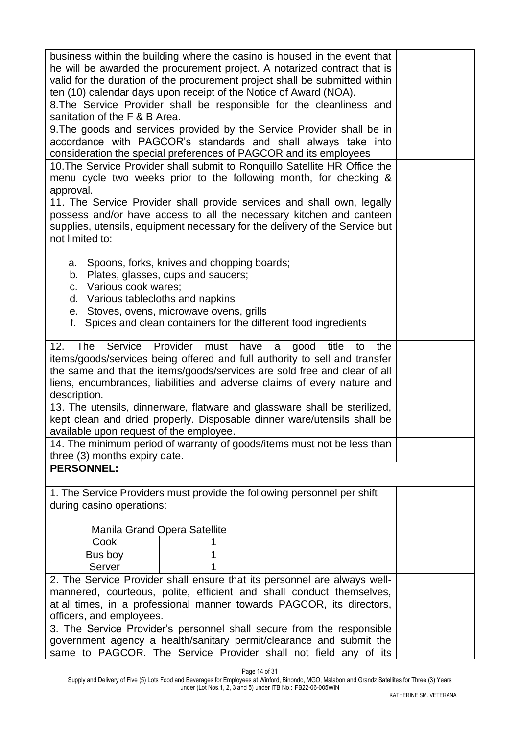| business within the building where the casino is housed in the event that<br>he will be awarded the procurement project. A notarized contract that is<br>valid for the duration of the procurement project shall be submitted within<br>ten (10) calendar days upon receipt of the Notice of Award (NOA).                  |                                                                                                                                                                                                                                                                    |                                                                                                                                                                                                                              |  |  |  |
|----------------------------------------------------------------------------------------------------------------------------------------------------------------------------------------------------------------------------------------------------------------------------------------------------------------------------|--------------------------------------------------------------------------------------------------------------------------------------------------------------------------------------------------------------------------------------------------------------------|------------------------------------------------------------------------------------------------------------------------------------------------------------------------------------------------------------------------------|--|--|--|
| sanitation of the F & B Area.                                                                                                                                                                                                                                                                                              |                                                                                                                                                                                                                                                                    | 8. The Service Provider shall be responsible for the cleanliness and                                                                                                                                                         |  |  |  |
| consideration the special preferences of PAGCOR and its employees                                                                                                                                                                                                                                                          |                                                                                                                                                                                                                                                                    | 9. The goods and services provided by the Service Provider shall be in<br>accordance with PAGCOR's standards and shall always take into                                                                                      |  |  |  |
| approval.                                                                                                                                                                                                                                                                                                                  |                                                                                                                                                                                                                                                                    | 10. The Service Provider shall submit to Ronguillo Satellite HR Office the<br>menu cycle two weeks prior to the following month, for checking &                                                                              |  |  |  |
| not limited to:                                                                                                                                                                                                                                                                                                            |                                                                                                                                                                                                                                                                    | 11. The Service Provider shall provide services and shall own, legally<br>possess and/or have access to all the necessary kitchen and canteen<br>supplies, utensils, equipment necessary for the delivery of the Service but |  |  |  |
| а.<br>f.                                                                                                                                                                                                                                                                                                                   | Spoons, forks, knives and chopping boards;<br>b. Plates, glasses, cups and saucers;<br>c. Various cook wares;<br>d. Various tablecloths and napkins<br>e. Stoves, ovens, microwave ovens, grills<br>Spices and clean containers for the different food ingredients |                                                                                                                                                                                                                              |  |  |  |
| The<br>Service<br>Provider<br>12.<br>must<br>have<br>good<br>title<br>the<br>a<br>to<br>items/goods/services being offered and full authority to sell and transfer<br>the same and that the items/goods/services are sold free and clear of all<br>liens, encumbrances, liabilities and adverse claims of every nature and |                                                                                                                                                                                                                                                                    |                                                                                                                                                                                                                              |  |  |  |
| description.<br>available upon request of the employee.                                                                                                                                                                                                                                                                    |                                                                                                                                                                                                                                                                    | 13. The utensils, dinnerware, flatware and glassware shall be sterilized,<br>kept clean and dried properly. Disposable dinner ware/utensils shall be                                                                         |  |  |  |
| 14. The minimum period of warranty of goods/items must not be less than<br>three (3) months expiry date.                                                                                                                                                                                                                   |                                                                                                                                                                                                                                                                    |                                                                                                                                                                                                                              |  |  |  |
| <b>PERSONNEL:</b>                                                                                                                                                                                                                                                                                                          |                                                                                                                                                                                                                                                                    |                                                                                                                                                                                                                              |  |  |  |
| 1. The Service Providers must provide the following personnel per shift<br>during casino operations:                                                                                                                                                                                                                       |                                                                                                                                                                                                                                                                    |                                                                                                                                                                                                                              |  |  |  |
| <b>Manila Grand Opera Satellite</b>                                                                                                                                                                                                                                                                                        |                                                                                                                                                                                                                                                                    |                                                                                                                                                                                                                              |  |  |  |
| Cook                                                                                                                                                                                                                                                                                                                       |                                                                                                                                                                                                                                                                    |                                                                                                                                                                                                                              |  |  |  |
| Bus boy                                                                                                                                                                                                                                                                                                                    |                                                                                                                                                                                                                                                                    |                                                                                                                                                                                                                              |  |  |  |
| Server                                                                                                                                                                                                                                                                                                                     |                                                                                                                                                                                                                                                                    |                                                                                                                                                                                                                              |  |  |  |
|                                                                                                                                                                                                                                                                                                                            |                                                                                                                                                                                                                                                                    | 2. The Service Provider shall ensure that its personnel are always well-                                                                                                                                                     |  |  |  |
|                                                                                                                                                                                                                                                                                                                            |                                                                                                                                                                                                                                                                    | mannered, courteous, polite, efficient and shall conduct themselves,                                                                                                                                                         |  |  |  |
| at all times, in a professional manner towards PAGCOR, its directors,<br>officers, and employees.                                                                                                                                                                                                                          |                                                                                                                                                                                                                                                                    |                                                                                                                                                                                                                              |  |  |  |
| 3. The Service Provider's personnel shall secure from the responsible                                                                                                                                                                                                                                                      |                                                                                                                                                                                                                                                                    |                                                                                                                                                                                                                              |  |  |  |
| government agency a health/sanitary permit/clearance and submit the<br>same to PAGCOR. The Service Provider shall not field any of its                                                                                                                                                                                     |                                                                                                                                                                                                                                                                    |                                                                                                                                                                                                                              |  |  |  |

Page 14 of 31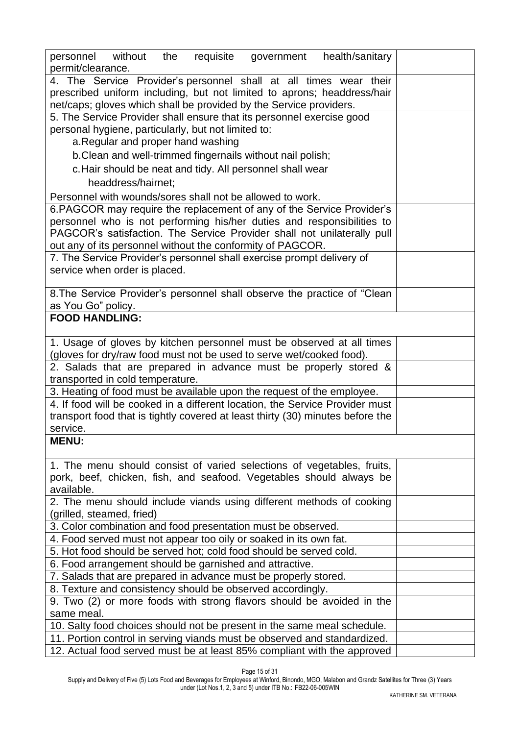| health/sanitary<br>personnel without<br>requisite<br>the<br>government<br>permit/clearance. |  |  |  |  |  |  |
|---------------------------------------------------------------------------------------------|--|--|--|--|--|--|
| 4. The Service Provider's personnel shall at all times wear their                           |  |  |  |  |  |  |
| prescribed uniform including, but not limited to aprons; headdress/hair                     |  |  |  |  |  |  |
| net/caps; gloves which shall be provided by the Service providers.                          |  |  |  |  |  |  |
| 5. The Service Provider shall ensure that its personnel exercise good                       |  |  |  |  |  |  |
| personal hygiene, particularly, but not limited to:                                         |  |  |  |  |  |  |
| a. Regular and proper hand washing                                                          |  |  |  |  |  |  |
| b. Clean and well-trimmed fingernails without nail polish;                                  |  |  |  |  |  |  |
| c. Hair should be neat and tidy. All personnel shall wear                                   |  |  |  |  |  |  |
| headdress/hairnet;                                                                          |  |  |  |  |  |  |
| Personnel with wounds/sores shall not be allowed to work.                                   |  |  |  |  |  |  |
| 6. PAGCOR may require the replacement of any of the Service Provider's                      |  |  |  |  |  |  |
| personnel who is not performing his/her duties and responsibilities to                      |  |  |  |  |  |  |
| PAGCOR's satisfaction. The Service Provider shall not unilaterally pull                     |  |  |  |  |  |  |
| out any of its personnel without the conformity of PAGCOR.                                  |  |  |  |  |  |  |
| 7. The Service Provider's personnel shall exercise prompt delivery of                       |  |  |  |  |  |  |
| service when order is placed.                                                               |  |  |  |  |  |  |
| 8. The Service Provider's personnel shall observe the practice of "Clean"                   |  |  |  |  |  |  |
| as You Go" policy.                                                                          |  |  |  |  |  |  |
| <b>FOOD HANDLING:</b>                                                                       |  |  |  |  |  |  |
|                                                                                             |  |  |  |  |  |  |
| 1. Usage of gloves by kitchen personnel must be observed at all times                       |  |  |  |  |  |  |
| (gloves for dry/raw food must not be used to serve wet/cooked food).                        |  |  |  |  |  |  |
| 2. Salads that are prepared in advance must be properly stored &                            |  |  |  |  |  |  |
| transported in cold temperature.                                                            |  |  |  |  |  |  |
| 3. Heating of food must be available upon the request of the employee.                      |  |  |  |  |  |  |
| 4. If food will be cooked in a different location, the Service Provider must                |  |  |  |  |  |  |
| transport food that is tightly covered at least thirty (30) minutes before the              |  |  |  |  |  |  |
| service.                                                                                    |  |  |  |  |  |  |
| <b>MENU:</b>                                                                                |  |  |  |  |  |  |
|                                                                                             |  |  |  |  |  |  |
| 1. The menu should consist of varied selections of vegetables, fruits,                      |  |  |  |  |  |  |
| pork, beef, chicken, fish, and seafood. Vegetables should always be                         |  |  |  |  |  |  |
| available.                                                                                  |  |  |  |  |  |  |
| 2. The menu should include viands using different methods of cooking                        |  |  |  |  |  |  |
| (grilled, steamed, fried)                                                                   |  |  |  |  |  |  |
| 3. Color combination and food presentation must be observed.                                |  |  |  |  |  |  |
| 4. Food served must not appear too oily or soaked in its own fat.                           |  |  |  |  |  |  |
| 5. Hot food should be served hot; cold food should be served cold.                          |  |  |  |  |  |  |
| 6. Food arrangement should be garnished and attractive.                                     |  |  |  |  |  |  |
| 7. Salads that are prepared in advance must be properly stored.                             |  |  |  |  |  |  |
| 8. Texture and consistency should be observed accordingly.                                  |  |  |  |  |  |  |
| 9. Two (2) or more foods with strong flavors should be avoided in the                       |  |  |  |  |  |  |
| same meal.                                                                                  |  |  |  |  |  |  |
| 10. Salty food choices should not be present in the same meal schedule.                     |  |  |  |  |  |  |
| 11. Portion control in serving viands must be observed and standardized.                    |  |  |  |  |  |  |
| 12. Actual food served must be at least 85% compliant with the approved                     |  |  |  |  |  |  |

Page 15 of 31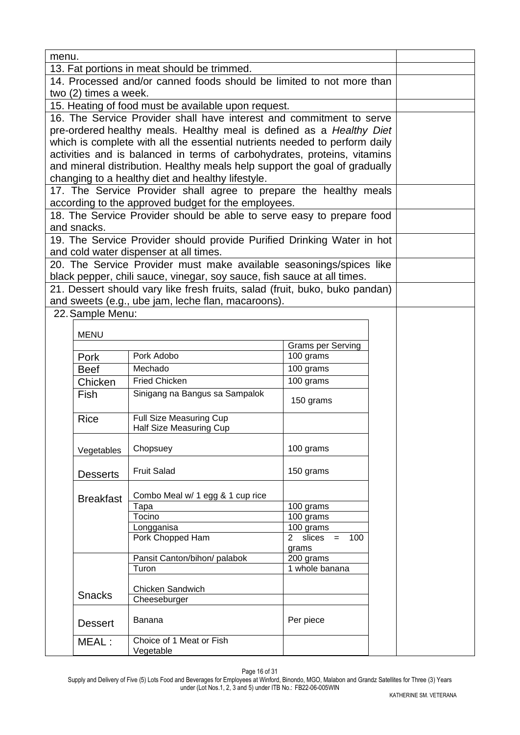| menu. |                       |                                                                                                                  |                                |  |  |
|-------|-----------------------|------------------------------------------------------------------------------------------------------------------|--------------------------------|--|--|
|       |                       | 13. Fat portions in meat should be trimmed.                                                                      |                                |  |  |
|       |                       | 14. Processed and/or canned foods should be limited to not more than                                             |                                |  |  |
|       | two (2) times a week. |                                                                                                                  |                                |  |  |
|       |                       | 15. Heating of food must be available upon request.                                                              |                                |  |  |
|       |                       | 16. The Service Provider shall have interest and commitment to serve                                             |                                |  |  |
|       |                       | pre-ordered healthy meals. Healthy meal is defined as a Healthy Diet                                             |                                |  |  |
|       |                       | which is complete with all the essential nutrients needed to perform daily                                       |                                |  |  |
|       |                       | activities and is balanced in terms of carbohydrates, proteins, vitamins                                         |                                |  |  |
|       |                       | and mineral distribution. Healthy meals help support the goal of gradually                                       |                                |  |  |
|       |                       | changing to a healthy diet and healthy lifestyle.                                                                |                                |  |  |
|       |                       | 17. The Service Provider shall agree to prepare the healthy meals                                                |                                |  |  |
|       |                       | according to the approved budget for the employees.                                                              |                                |  |  |
|       |                       | 18. The Service Provider should be able to serve easy to prepare food                                            |                                |  |  |
|       | and snacks.           |                                                                                                                  |                                |  |  |
|       |                       | 19. The Service Provider should provide Purified Drinking Water in hot<br>and cold water dispenser at all times. |                                |  |  |
|       |                       | 20. The Service Provider must make available seasonings/spices like                                              |                                |  |  |
|       |                       | black pepper, chili sauce, vinegar, soy sauce, fish sauce at all times.                                          |                                |  |  |
|       |                       | 21. Dessert should vary like fresh fruits, salad (fruit, buko, buko pandan)                                      |                                |  |  |
|       |                       | and sweets (e.g., ube jam, leche flan, macaroons).                                                               |                                |  |  |
|       | 22. Sample Menu:      |                                                                                                                  |                                |  |  |
|       |                       |                                                                                                                  |                                |  |  |
|       | <b>MENU</b>           |                                                                                                                  |                                |  |  |
|       |                       |                                                                                                                  | <b>Grams per Serving</b>       |  |  |
|       | Pork                  | Pork Adobo                                                                                                       | 100 grams                      |  |  |
|       | <b>Beef</b>           | Mechado                                                                                                          | 100 grams                      |  |  |
|       | Chicken               | <b>Fried Chicken</b>                                                                                             | 100 grams                      |  |  |
|       | Fish                  | Sinigang na Bangus sa Sampalok                                                                                   | 150 grams                      |  |  |
|       | <b>Rice</b>           | <b>Full Size Measuring Cup</b>                                                                                   |                                |  |  |
|       |                       | Half Size Measuring Cup                                                                                          |                                |  |  |
|       |                       |                                                                                                                  |                                |  |  |
|       | Vegetables            | Chopsuey                                                                                                         | 100 grams                      |  |  |
|       |                       | <b>Fruit Salad</b>                                                                                               | 150 grams                      |  |  |
|       | <b>Desserts</b>       |                                                                                                                  |                                |  |  |
|       |                       | Combo Meal w/ 1 egg & 1 cup rice                                                                                 |                                |  |  |
|       | <b>Breakfast</b>      | Tapa                                                                                                             | 100 grams                      |  |  |
|       |                       | Tocino                                                                                                           | 100 grams                      |  |  |
|       |                       | Longganisa                                                                                                       | 100 grams                      |  |  |
|       |                       | Pork Chopped Ham                                                                                                 | slices $= 100$<br>$\mathbf{2}$ |  |  |
| grams |                       |                                                                                                                  |                                |  |  |
|       |                       | Pansit Canton/bihon/ palabok<br>Turon                                                                            | 200 grams<br>1 whole banana    |  |  |
|       |                       |                                                                                                                  |                                |  |  |
|       |                       | Chicken Sandwich                                                                                                 |                                |  |  |
|       | <b>Snacks</b>         | Cheeseburger                                                                                                     |                                |  |  |
|       |                       |                                                                                                                  |                                |  |  |
|       | <b>Dessert</b>        | Banana                                                                                                           | Per piece                      |  |  |
|       | MEAL:                 | Choice of 1 Meat or Fish                                                                                         |                                |  |  |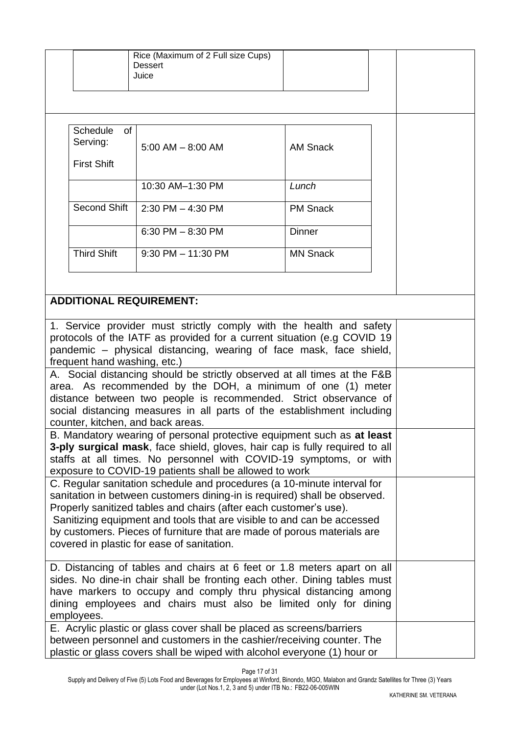|                                                                                                                                                |                    | Rice (Maximum of 2 Full size Cups)<br><b>Dessert</b>                                                                                                |                 |  |  |
|------------------------------------------------------------------------------------------------------------------------------------------------|--------------------|-----------------------------------------------------------------------------------------------------------------------------------------------------|-----------------|--|--|
|                                                                                                                                                |                    | Juice                                                                                                                                               |                 |  |  |
|                                                                                                                                                |                    |                                                                                                                                                     |                 |  |  |
|                                                                                                                                                |                    |                                                                                                                                                     |                 |  |  |
|                                                                                                                                                |                    |                                                                                                                                                     |                 |  |  |
|                                                                                                                                                |                    |                                                                                                                                                     |                 |  |  |
|                                                                                                                                                | Schedule<br>of     |                                                                                                                                                     |                 |  |  |
|                                                                                                                                                | Serving:           | $5:00$ AM $-$ 8:00 AM                                                                                                                               | <b>AM Snack</b> |  |  |
|                                                                                                                                                | <b>First Shift</b> |                                                                                                                                                     |                 |  |  |
|                                                                                                                                                |                    |                                                                                                                                                     |                 |  |  |
|                                                                                                                                                |                    | 10:30 AM-1:30 PM                                                                                                                                    | Lunch           |  |  |
|                                                                                                                                                |                    |                                                                                                                                                     |                 |  |  |
|                                                                                                                                                | Second Shift       | $2:30$ PM $-$ 4:30 PM                                                                                                                               | <b>PM Snack</b> |  |  |
|                                                                                                                                                |                    |                                                                                                                                                     |                 |  |  |
|                                                                                                                                                |                    | 6:30 PM $-$ 8:30 PM                                                                                                                                 | <b>Dinner</b>   |  |  |
|                                                                                                                                                |                    |                                                                                                                                                     |                 |  |  |
|                                                                                                                                                | <b>Third Shift</b> | $9:30$ PM $-$ 11:30 PM                                                                                                                              | <b>MN Snack</b> |  |  |
|                                                                                                                                                |                    |                                                                                                                                                     |                 |  |  |
|                                                                                                                                                |                    |                                                                                                                                                     |                 |  |  |
|                                                                                                                                                |                    | <b>ADDITIONAL REQUIREMENT:</b>                                                                                                                      |                 |  |  |
|                                                                                                                                                |                    |                                                                                                                                                     |                 |  |  |
|                                                                                                                                                |                    |                                                                                                                                                     |                 |  |  |
|                                                                                                                                                |                    | 1. Service provider must strictly comply with the health and safety                                                                                 |                 |  |  |
| protocols of the IATF as provided for a current situation (e.g COVID 19<br>pandemic – physical distancing, wearing of face mask, face shield,  |                    |                                                                                                                                                     |                 |  |  |
| frequent hand washing, etc.)                                                                                                                   |                    |                                                                                                                                                     |                 |  |  |
|                                                                                                                                                |                    | A. Social distancing should be strictly observed at all times at the F&B                                                                            |                 |  |  |
|                                                                                                                                                |                    |                                                                                                                                                     |                 |  |  |
|                                                                                                                                                |                    | area. As recommended by the DOH, a minimum of one (1) meter                                                                                         |                 |  |  |
|                                                                                                                                                |                    | distance between two people is recommended. Strict observance of                                                                                    |                 |  |  |
| social distancing measures in all parts of the establishment including<br>counter, kitchen, and back areas.                                    |                    |                                                                                                                                                     |                 |  |  |
| B. Mandatory wearing of personal protective equipment such as at least                                                                         |                    |                                                                                                                                                     |                 |  |  |
| 3-ply surgical mask, face shield, gloves, hair cap is fully required to all                                                                    |                    |                                                                                                                                                     |                 |  |  |
|                                                                                                                                                |                    |                                                                                                                                                     |                 |  |  |
| staffs at all times. No personnel with COVID-19 symptoms, or with                                                                              |                    |                                                                                                                                                     |                 |  |  |
| exposure to COVID-19 patients shall be allowed to work                                                                                         |                    |                                                                                                                                                     |                 |  |  |
| C. Regular sanitation schedule and procedures (a 10-minute interval for                                                                        |                    |                                                                                                                                                     |                 |  |  |
| sanitation in between customers dining-in is required) shall be observed.<br>Properly sanitized tables and chairs (after each customer's use). |                    |                                                                                                                                                     |                 |  |  |
|                                                                                                                                                |                    |                                                                                                                                                     |                 |  |  |
|                                                                                                                                                |                    | Sanitizing equipment and tools that are visible to and can be accessed                                                                              |                 |  |  |
|                                                                                                                                                |                    | by customers. Pieces of furniture that are made of porous materials are                                                                             |                 |  |  |
| covered in plastic for ease of sanitation.                                                                                                     |                    |                                                                                                                                                     |                 |  |  |
|                                                                                                                                                |                    |                                                                                                                                                     |                 |  |  |
|                                                                                                                                                |                    | D. Distancing of tables and chairs at 6 feet or 1.8 meters apart on all<br>sides. No dine-in chair shall be fronting each other. Dining tables must |                 |  |  |
|                                                                                                                                                |                    |                                                                                                                                                     |                 |  |  |
| have markers to occupy and comply thru physical distancing among                                                                               |                    |                                                                                                                                                     |                 |  |  |
| dining employees and chairs must also be limited only for dining                                                                               |                    |                                                                                                                                                     |                 |  |  |
|                                                                                                                                                | employees.         |                                                                                                                                                     |                 |  |  |
|                                                                                                                                                |                    | E. Acrylic plastic or glass cover shall be placed as screens/barriers                                                                               |                 |  |  |
|                                                                                                                                                |                    | between personnel and customers in the cashier/receiving counter. The                                                                               |                 |  |  |
| plastic or glass covers shall be wiped with alcohol everyone (1) hour or                                                                       |                    |                                                                                                                                                     |                 |  |  |

Page 17 of 31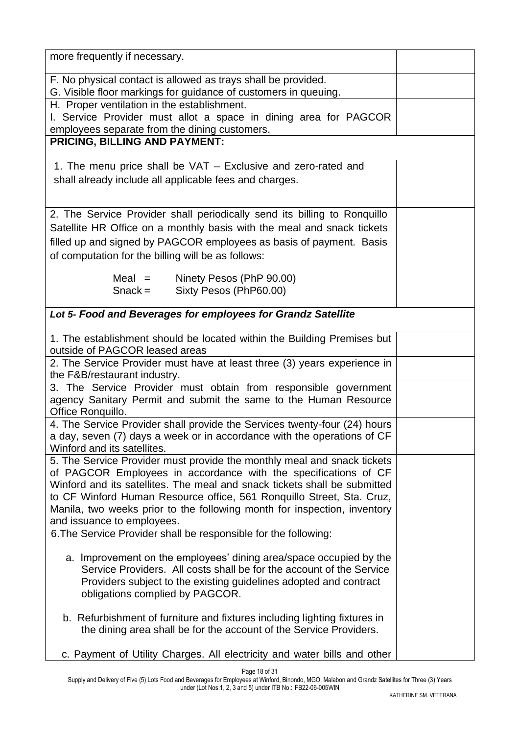| more frequently if necessary.                                             |  |
|---------------------------------------------------------------------------|--|
| F. No physical contact is allowed as trays shall be provided.             |  |
| G. Visible floor markings for guidance of customers in queuing.           |  |
| H. Proper ventilation in the establishment.                               |  |
| I. Service Provider must allot a space in dining area for PAGCOR          |  |
| employees separate from the dining customers.                             |  |
| PRICING, BILLING AND PAYMENT:                                             |  |
|                                                                           |  |
| 1. The menu price shall be VAT - Exclusive and zero-rated and             |  |
| shall already include all applicable fees and charges.                    |  |
|                                                                           |  |
|                                                                           |  |
| 2. The Service Provider shall periodically send its billing to Ronquillo  |  |
| Satellite HR Office on a monthly basis with the meal and snack tickets    |  |
| filled up and signed by PAGCOR employees as basis of payment. Basis       |  |
|                                                                           |  |
| of computation for the billing will be as follows:                        |  |
| Meal $=$ Ninety Pesos (PhP 90.00)                                         |  |
| Sixty Pesos (PhP60.00)<br>$Snack =$                                       |  |
|                                                                           |  |
| Lot 5- Food and Beverages for employees for Grandz Satellite              |  |
|                                                                           |  |
| 1. The establishment should be located within the Building Premises but   |  |
| outside of PAGCOR leased areas                                            |  |
| 2. The Service Provider must have at least three (3) years experience in  |  |
| the F&B/restaurant industry.                                              |  |
| 3. The Service Provider must obtain from responsible government           |  |
| agency Sanitary Permit and submit the same to the Human Resource          |  |
| Office Ronquillo.                                                         |  |
| 4. The Service Provider shall provide the Services twenty-four (24) hours |  |
| a day, seven (7) days a week or in accordance with the operations of CF   |  |
| Winford and its satellites.                                               |  |
| 5. The Service Provider must provide the monthly meal and snack tickets   |  |
| of PAGCOR Employees in accordance with the specifications of CF           |  |
| Winford and its satellites. The meal and snack tickets shall be submitted |  |
| to CF Winford Human Resource office, 561 Ronquillo Street, Sta. Cruz,     |  |
| Manila, two weeks prior to the following month for inspection, inventory  |  |
| and issuance to employees.                                                |  |
| 6. The Service Provider shall be responsible for the following:           |  |
|                                                                           |  |
| a. Improvement on the employees' dining area/space occupied by the        |  |
| Service Providers. All costs shall be for the account of the Service      |  |
| Providers subject to the existing guidelines adopted and contract         |  |
| obligations complied by PAGCOR.                                           |  |
|                                                                           |  |
| b. Refurbishment of furniture and fixtures including lighting fixtures in |  |
| the dining area shall be for the account of the Service Providers.        |  |
|                                                                           |  |
| c. Payment of Utility Charges. All electricity and water bills and other  |  |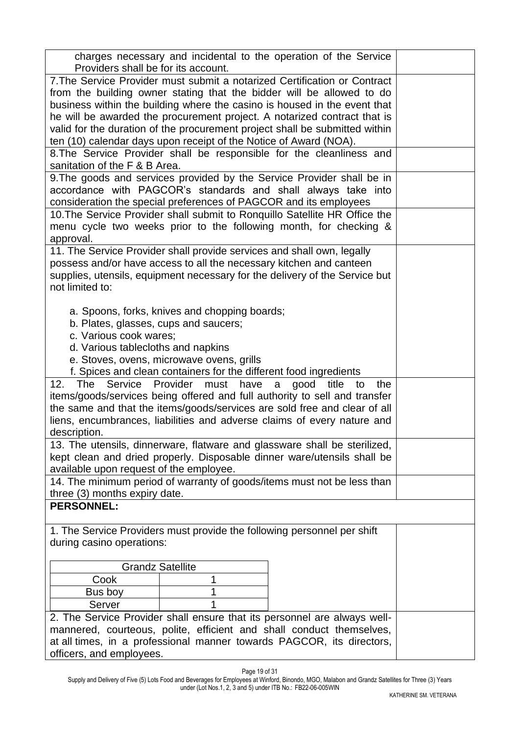| charges necessary and incidental to the operation of the Service<br>Providers shall be for its account.<br>7. The Service Provider must submit a notarized Certification or Contract<br>from the building owner stating that the bidder will be allowed to do<br>business within the building where the casino is housed in the event that<br>he will be awarded the procurement project. A notarized contract that is<br>valid for the duration of the procurement project shall be submitted within<br>ten (10) calendar days upon receipt of the Notice of Award (NOA).<br>8. The Service Provider shall be responsible for the cleanliness and<br>sanitation of the F & B Area.<br>9. The goods and services provided by the Service Provider shall be in<br>accordance with PAGCOR's standards and shall always take into<br>consideration the special preferences of PAGCOR and its employees<br>10. The Service Provider shall submit to Ronquillo Satellite HR Office the<br>menu cycle two weeks prior to the following month, for checking &<br>approval.<br>11. The Service Provider shall provide services and shall own, legally<br>possess and/or have access to all the necessary kitchen and canteen<br>supplies, utensils, equipment necessary for the delivery of the Service but<br>not limited to:<br>a. Spoons, forks, knives and chopping boards;<br>b. Plates, glasses, cups and saucers;<br>c. Various cook wares;<br>d. Various tablecloths and napkins<br>e. Stoves, ovens, microwave ovens, grills<br>f. Spices and clean containers for the different food ingredients<br>12.<br>The<br>Service<br>Provider must<br>have<br>good title<br>a<br>to<br>the<br>items/goods/services being offered and full authority to sell and transfer<br>the same and that the items/goods/services are sold free and clear of all<br>liens, encumbrances, liabilities and adverse claims of every nature and<br>description.<br>13. The utensils, dinnerware, flatware and glassware shall be sterilized,<br>kept clean and dried properly. Disposable dinner ware/utensils shall be<br>available upon request of the employee.<br>14. The minimum period of warranty of goods/items must not be less than<br>three (3) months expiry date.<br><b>PERSONNEL:</b><br>1. The Service Providers must provide the following personnel per shift<br>during casino operations:<br><b>Grandz Satellite</b><br>Cook<br>1<br>Bus boy<br>1<br>Server<br>2. The Service Provider shall ensure that its personnel are always well-<br>mannered, courteous, polite, efficient and shall conduct themselves,<br>at all times, in a professional manner towards PAGCOR, its directors,<br>officers, and employees. |  |
|-------------------------------------------------------------------------------------------------------------------------------------------------------------------------------------------------------------------------------------------------------------------------------------------------------------------------------------------------------------------------------------------------------------------------------------------------------------------------------------------------------------------------------------------------------------------------------------------------------------------------------------------------------------------------------------------------------------------------------------------------------------------------------------------------------------------------------------------------------------------------------------------------------------------------------------------------------------------------------------------------------------------------------------------------------------------------------------------------------------------------------------------------------------------------------------------------------------------------------------------------------------------------------------------------------------------------------------------------------------------------------------------------------------------------------------------------------------------------------------------------------------------------------------------------------------------------------------------------------------------------------------------------------------------------------------------------------------------------------------------------------------------------------------------------------------------------------------------------------------------------------------------------------------------------------------------------------------------------------------------------------------------------------------------------------------------------------------------------------------------------------------------------------------------------------------------------------------------------------------------------------------------------------------------------------------------------------------------------------------------------------------------------------------------------------------------------------------------------------------------------------------------------------------------------------------------------------------------------------------------------------------------------------------------------------------------------------------------|--|
|                                                                                                                                                                                                                                                                                                                                                                                                                                                                                                                                                                                                                                                                                                                                                                                                                                                                                                                                                                                                                                                                                                                                                                                                                                                                                                                                                                                                                                                                                                                                                                                                                                                                                                                                                                                                                                                                                                                                                                                                                                                                                                                                                                                                                                                                                                                                                                                                                                                                                                                                                                                                                                                                                                                   |  |
|                                                                                                                                                                                                                                                                                                                                                                                                                                                                                                                                                                                                                                                                                                                                                                                                                                                                                                                                                                                                                                                                                                                                                                                                                                                                                                                                                                                                                                                                                                                                                                                                                                                                                                                                                                                                                                                                                                                                                                                                                                                                                                                                                                                                                                                                                                                                                                                                                                                                                                                                                                                                                                                                                                                   |  |
|                                                                                                                                                                                                                                                                                                                                                                                                                                                                                                                                                                                                                                                                                                                                                                                                                                                                                                                                                                                                                                                                                                                                                                                                                                                                                                                                                                                                                                                                                                                                                                                                                                                                                                                                                                                                                                                                                                                                                                                                                                                                                                                                                                                                                                                                                                                                                                                                                                                                                                                                                                                                                                                                                                                   |  |
|                                                                                                                                                                                                                                                                                                                                                                                                                                                                                                                                                                                                                                                                                                                                                                                                                                                                                                                                                                                                                                                                                                                                                                                                                                                                                                                                                                                                                                                                                                                                                                                                                                                                                                                                                                                                                                                                                                                                                                                                                                                                                                                                                                                                                                                                                                                                                                                                                                                                                                                                                                                                                                                                                                                   |  |
|                                                                                                                                                                                                                                                                                                                                                                                                                                                                                                                                                                                                                                                                                                                                                                                                                                                                                                                                                                                                                                                                                                                                                                                                                                                                                                                                                                                                                                                                                                                                                                                                                                                                                                                                                                                                                                                                                                                                                                                                                                                                                                                                                                                                                                                                                                                                                                                                                                                                                                                                                                                                                                                                                                                   |  |
|                                                                                                                                                                                                                                                                                                                                                                                                                                                                                                                                                                                                                                                                                                                                                                                                                                                                                                                                                                                                                                                                                                                                                                                                                                                                                                                                                                                                                                                                                                                                                                                                                                                                                                                                                                                                                                                                                                                                                                                                                                                                                                                                                                                                                                                                                                                                                                                                                                                                                                                                                                                                                                                                                                                   |  |
|                                                                                                                                                                                                                                                                                                                                                                                                                                                                                                                                                                                                                                                                                                                                                                                                                                                                                                                                                                                                                                                                                                                                                                                                                                                                                                                                                                                                                                                                                                                                                                                                                                                                                                                                                                                                                                                                                                                                                                                                                                                                                                                                                                                                                                                                                                                                                                                                                                                                                                                                                                                                                                                                                                                   |  |
|                                                                                                                                                                                                                                                                                                                                                                                                                                                                                                                                                                                                                                                                                                                                                                                                                                                                                                                                                                                                                                                                                                                                                                                                                                                                                                                                                                                                                                                                                                                                                                                                                                                                                                                                                                                                                                                                                                                                                                                                                                                                                                                                                                                                                                                                                                                                                                                                                                                                                                                                                                                                                                                                                                                   |  |
|                                                                                                                                                                                                                                                                                                                                                                                                                                                                                                                                                                                                                                                                                                                                                                                                                                                                                                                                                                                                                                                                                                                                                                                                                                                                                                                                                                                                                                                                                                                                                                                                                                                                                                                                                                                                                                                                                                                                                                                                                                                                                                                                                                                                                                                                                                                                                                                                                                                                                                                                                                                                                                                                                                                   |  |
|                                                                                                                                                                                                                                                                                                                                                                                                                                                                                                                                                                                                                                                                                                                                                                                                                                                                                                                                                                                                                                                                                                                                                                                                                                                                                                                                                                                                                                                                                                                                                                                                                                                                                                                                                                                                                                                                                                                                                                                                                                                                                                                                                                                                                                                                                                                                                                                                                                                                                                                                                                                                                                                                                                                   |  |
|                                                                                                                                                                                                                                                                                                                                                                                                                                                                                                                                                                                                                                                                                                                                                                                                                                                                                                                                                                                                                                                                                                                                                                                                                                                                                                                                                                                                                                                                                                                                                                                                                                                                                                                                                                                                                                                                                                                                                                                                                                                                                                                                                                                                                                                                                                                                                                                                                                                                                                                                                                                                                                                                                                                   |  |
|                                                                                                                                                                                                                                                                                                                                                                                                                                                                                                                                                                                                                                                                                                                                                                                                                                                                                                                                                                                                                                                                                                                                                                                                                                                                                                                                                                                                                                                                                                                                                                                                                                                                                                                                                                                                                                                                                                                                                                                                                                                                                                                                                                                                                                                                                                                                                                                                                                                                                                                                                                                                                                                                                                                   |  |
|                                                                                                                                                                                                                                                                                                                                                                                                                                                                                                                                                                                                                                                                                                                                                                                                                                                                                                                                                                                                                                                                                                                                                                                                                                                                                                                                                                                                                                                                                                                                                                                                                                                                                                                                                                                                                                                                                                                                                                                                                                                                                                                                                                                                                                                                                                                                                                                                                                                                                                                                                                                                                                                                                                                   |  |
|                                                                                                                                                                                                                                                                                                                                                                                                                                                                                                                                                                                                                                                                                                                                                                                                                                                                                                                                                                                                                                                                                                                                                                                                                                                                                                                                                                                                                                                                                                                                                                                                                                                                                                                                                                                                                                                                                                                                                                                                                                                                                                                                                                                                                                                                                                                                                                                                                                                                                                                                                                                                                                                                                                                   |  |
|                                                                                                                                                                                                                                                                                                                                                                                                                                                                                                                                                                                                                                                                                                                                                                                                                                                                                                                                                                                                                                                                                                                                                                                                                                                                                                                                                                                                                                                                                                                                                                                                                                                                                                                                                                                                                                                                                                                                                                                                                                                                                                                                                                                                                                                                                                                                                                                                                                                                                                                                                                                                                                                                                                                   |  |
|                                                                                                                                                                                                                                                                                                                                                                                                                                                                                                                                                                                                                                                                                                                                                                                                                                                                                                                                                                                                                                                                                                                                                                                                                                                                                                                                                                                                                                                                                                                                                                                                                                                                                                                                                                                                                                                                                                                                                                                                                                                                                                                                                                                                                                                                                                                                                                                                                                                                                                                                                                                                                                                                                                                   |  |
|                                                                                                                                                                                                                                                                                                                                                                                                                                                                                                                                                                                                                                                                                                                                                                                                                                                                                                                                                                                                                                                                                                                                                                                                                                                                                                                                                                                                                                                                                                                                                                                                                                                                                                                                                                                                                                                                                                                                                                                                                                                                                                                                                                                                                                                                                                                                                                                                                                                                                                                                                                                                                                                                                                                   |  |
|                                                                                                                                                                                                                                                                                                                                                                                                                                                                                                                                                                                                                                                                                                                                                                                                                                                                                                                                                                                                                                                                                                                                                                                                                                                                                                                                                                                                                                                                                                                                                                                                                                                                                                                                                                                                                                                                                                                                                                                                                                                                                                                                                                                                                                                                                                                                                                                                                                                                                                                                                                                                                                                                                                                   |  |
|                                                                                                                                                                                                                                                                                                                                                                                                                                                                                                                                                                                                                                                                                                                                                                                                                                                                                                                                                                                                                                                                                                                                                                                                                                                                                                                                                                                                                                                                                                                                                                                                                                                                                                                                                                                                                                                                                                                                                                                                                                                                                                                                                                                                                                                                                                                                                                                                                                                                                                                                                                                                                                                                                                                   |  |
|                                                                                                                                                                                                                                                                                                                                                                                                                                                                                                                                                                                                                                                                                                                                                                                                                                                                                                                                                                                                                                                                                                                                                                                                                                                                                                                                                                                                                                                                                                                                                                                                                                                                                                                                                                                                                                                                                                                                                                                                                                                                                                                                                                                                                                                                                                                                                                                                                                                                                                                                                                                                                                                                                                                   |  |
|                                                                                                                                                                                                                                                                                                                                                                                                                                                                                                                                                                                                                                                                                                                                                                                                                                                                                                                                                                                                                                                                                                                                                                                                                                                                                                                                                                                                                                                                                                                                                                                                                                                                                                                                                                                                                                                                                                                                                                                                                                                                                                                                                                                                                                                                                                                                                                                                                                                                                                                                                                                                                                                                                                                   |  |
|                                                                                                                                                                                                                                                                                                                                                                                                                                                                                                                                                                                                                                                                                                                                                                                                                                                                                                                                                                                                                                                                                                                                                                                                                                                                                                                                                                                                                                                                                                                                                                                                                                                                                                                                                                                                                                                                                                                                                                                                                                                                                                                                                                                                                                                                                                                                                                                                                                                                                                                                                                                                                                                                                                                   |  |
|                                                                                                                                                                                                                                                                                                                                                                                                                                                                                                                                                                                                                                                                                                                                                                                                                                                                                                                                                                                                                                                                                                                                                                                                                                                                                                                                                                                                                                                                                                                                                                                                                                                                                                                                                                                                                                                                                                                                                                                                                                                                                                                                                                                                                                                                                                                                                                                                                                                                                                                                                                                                                                                                                                                   |  |
|                                                                                                                                                                                                                                                                                                                                                                                                                                                                                                                                                                                                                                                                                                                                                                                                                                                                                                                                                                                                                                                                                                                                                                                                                                                                                                                                                                                                                                                                                                                                                                                                                                                                                                                                                                                                                                                                                                                                                                                                                                                                                                                                                                                                                                                                                                                                                                                                                                                                                                                                                                                                                                                                                                                   |  |
|                                                                                                                                                                                                                                                                                                                                                                                                                                                                                                                                                                                                                                                                                                                                                                                                                                                                                                                                                                                                                                                                                                                                                                                                                                                                                                                                                                                                                                                                                                                                                                                                                                                                                                                                                                                                                                                                                                                                                                                                                                                                                                                                                                                                                                                                                                                                                                                                                                                                                                                                                                                                                                                                                                                   |  |
|                                                                                                                                                                                                                                                                                                                                                                                                                                                                                                                                                                                                                                                                                                                                                                                                                                                                                                                                                                                                                                                                                                                                                                                                                                                                                                                                                                                                                                                                                                                                                                                                                                                                                                                                                                                                                                                                                                                                                                                                                                                                                                                                                                                                                                                                                                                                                                                                                                                                                                                                                                                                                                                                                                                   |  |
|                                                                                                                                                                                                                                                                                                                                                                                                                                                                                                                                                                                                                                                                                                                                                                                                                                                                                                                                                                                                                                                                                                                                                                                                                                                                                                                                                                                                                                                                                                                                                                                                                                                                                                                                                                                                                                                                                                                                                                                                                                                                                                                                                                                                                                                                                                                                                                                                                                                                                                                                                                                                                                                                                                                   |  |
|                                                                                                                                                                                                                                                                                                                                                                                                                                                                                                                                                                                                                                                                                                                                                                                                                                                                                                                                                                                                                                                                                                                                                                                                                                                                                                                                                                                                                                                                                                                                                                                                                                                                                                                                                                                                                                                                                                                                                                                                                                                                                                                                                                                                                                                                                                                                                                                                                                                                                                                                                                                                                                                                                                                   |  |
|                                                                                                                                                                                                                                                                                                                                                                                                                                                                                                                                                                                                                                                                                                                                                                                                                                                                                                                                                                                                                                                                                                                                                                                                                                                                                                                                                                                                                                                                                                                                                                                                                                                                                                                                                                                                                                                                                                                                                                                                                                                                                                                                                                                                                                                                                                                                                                                                                                                                                                                                                                                                                                                                                                                   |  |
|                                                                                                                                                                                                                                                                                                                                                                                                                                                                                                                                                                                                                                                                                                                                                                                                                                                                                                                                                                                                                                                                                                                                                                                                                                                                                                                                                                                                                                                                                                                                                                                                                                                                                                                                                                                                                                                                                                                                                                                                                                                                                                                                                                                                                                                                                                                                                                                                                                                                                                                                                                                                                                                                                                                   |  |
|                                                                                                                                                                                                                                                                                                                                                                                                                                                                                                                                                                                                                                                                                                                                                                                                                                                                                                                                                                                                                                                                                                                                                                                                                                                                                                                                                                                                                                                                                                                                                                                                                                                                                                                                                                                                                                                                                                                                                                                                                                                                                                                                                                                                                                                                                                                                                                                                                                                                                                                                                                                                                                                                                                                   |  |
|                                                                                                                                                                                                                                                                                                                                                                                                                                                                                                                                                                                                                                                                                                                                                                                                                                                                                                                                                                                                                                                                                                                                                                                                                                                                                                                                                                                                                                                                                                                                                                                                                                                                                                                                                                                                                                                                                                                                                                                                                                                                                                                                                                                                                                                                                                                                                                                                                                                                                                                                                                                                                                                                                                                   |  |
|                                                                                                                                                                                                                                                                                                                                                                                                                                                                                                                                                                                                                                                                                                                                                                                                                                                                                                                                                                                                                                                                                                                                                                                                                                                                                                                                                                                                                                                                                                                                                                                                                                                                                                                                                                                                                                                                                                                                                                                                                                                                                                                                                                                                                                                                                                                                                                                                                                                                                                                                                                                                                                                                                                                   |  |
|                                                                                                                                                                                                                                                                                                                                                                                                                                                                                                                                                                                                                                                                                                                                                                                                                                                                                                                                                                                                                                                                                                                                                                                                                                                                                                                                                                                                                                                                                                                                                                                                                                                                                                                                                                                                                                                                                                                                                                                                                                                                                                                                                                                                                                                                                                                                                                                                                                                                                                                                                                                                                                                                                                                   |  |
|                                                                                                                                                                                                                                                                                                                                                                                                                                                                                                                                                                                                                                                                                                                                                                                                                                                                                                                                                                                                                                                                                                                                                                                                                                                                                                                                                                                                                                                                                                                                                                                                                                                                                                                                                                                                                                                                                                                                                                                                                                                                                                                                                                                                                                                                                                                                                                                                                                                                                                                                                                                                                                                                                                                   |  |
|                                                                                                                                                                                                                                                                                                                                                                                                                                                                                                                                                                                                                                                                                                                                                                                                                                                                                                                                                                                                                                                                                                                                                                                                                                                                                                                                                                                                                                                                                                                                                                                                                                                                                                                                                                                                                                                                                                                                                                                                                                                                                                                                                                                                                                                                                                                                                                                                                                                                                                                                                                                                                                                                                                                   |  |
|                                                                                                                                                                                                                                                                                                                                                                                                                                                                                                                                                                                                                                                                                                                                                                                                                                                                                                                                                                                                                                                                                                                                                                                                                                                                                                                                                                                                                                                                                                                                                                                                                                                                                                                                                                                                                                                                                                                                                                                                                                                                                                                                                                                                                                                                                                                                                                                                                                                                                                                                                                                                                                                                                                                   |  |
|                                                                                                                                                                                                                                                                                                                                                                                                                                                                                                                                                                                                                                                                                                                                                                                                                                                                                                                                                                                                                                                                                                                                                                                                                                                                                                                                                                                                                                                                                                                                                                                                                                                                                                                                                                                                                                                                                                                                                                                                                                                                                                                                                                                                                                                                                                                                                                                                                                                                                                                                                                                                                                                                                                                   |  |
|                                                                                                                                                                                                                                                                                                                                                                                                                                                                                                                                                                                                                                                                                                                                                                                                                                                                                                                                                                                                                                                                                                                                                                                                                                                                                                                                                                                                                                                                                                                                                                                                                                                                                                                                                                                                                                                                                                                                                                                                                                                                                                                                                                                                                                                                                                                                                                                                                                                                                                                                                                                                                                                                                                                   |  |
|                                                                                                                                                                                                                                                                                                                                                                                                                                                                                                                                                                                                                                                                                                                                                                                                                                                                                                                                                                                                                                                                                                                                                                                                                                                                                                                                                                                                                                                                                                                                                                                                                                                                                                                                                                                                                                                                                                                                                                                                                                                                                                                                                                                                                                                                                                                                                                                                                                                                                                                                                                                                                                                                                                                   |  |
|                                                                                                                                                                                                                                                                                                                                                                                                                                                                                                                                                                                                                                                                                                                                                                                                                                                                                                                                                                                                                                                                                                                                                                                                                                                                                                                                                                                                                                                                                                                                                                                                                                                                                                                                                                                                                                                                                                                                                                                                                                                                                                                                                                                                                                                                                                                                                                                                                                                                                                                                                                                                                                                                                                                   |  |
|                                                                                                                                                                                                                                                                                                                                                                                                                                                                                                                                                                                                                                                                                                                                                                                                                                                                                                                                                                                                                                                                                                                                                                                                                                                                                                                                                                                                                                                                                                                                                                                                                                                                                                                                                                                                                                                                                                                                                                                                                                                                                                                                                                                                                                                                                                                                                                                                                                                                                                                                                                                                                                                                                                                   |  |
|                                                                                                                                                                                                                                                                                                                                                                                                                                                                                                                                                                                                                                                                                                                                                                                                                                                                                                                                                                                                                                                                                                                                                                                                                                                                                                                                                                                                                                                                                                                                                                                                                                                                                                                                                                                                                                                                                                                                                                                                                                                                                                                                                                                                                                                                                                                                                                                                                                                                                                                                                                                                                                                                                                                   |  |
|                                                                                                                                                                                                                                                                                                                                                                                                                                                                                                                                                                                                                                                                                                                                                                                                                                                                                                                                                                                                                                                                                                                                                                                                                                                                                                                                                                                                                                                                                                                                                                                                                                                                                                                                                                                                                                                                                                                                                                                                                                                                                                                                                                                                                                                                                                                                                                                                                                                                                                                                                                                                                                                                                                                   |  |
|                                                                                                                                                                                                                                                                                                                                                                                                                                                                                                                                                                                                                                                                                                                                                                                                                                                                                                                                                                                                                                                                                                                                                                                                                                                                                                                                                                                                                                                                                                                                                                                                                                                                                                                                                                                                                                                                                                                                                                                                                                                                                                                                                                                                                                                                                                                                                                                                                                                                                                                                                                                                                                                                                                                   |  |
|                                                                                                                                                                                                                                                                                                                                                                                                                                                                                                                                                                                                                                                                                                                                                                                                                                                                                                                                                                                                                                                                                                                                                                                                                                                                                                                                                                                                                                                                                                                                                                                                                                                                                                                                                                                                                                                                                                                                                                                                                                                                                                                                                                                                                                                                                                                                                                                                                                                                                                                                                                                                                                                                                                                   |  |
|                                                                                                                                                                                                                                                                                                                                                                                                                                                                                                                                                                                                                                                                                                                                                                                                                                                                                                                                                                                                                                                                                                                                                                                                                                                                                                                                                                                                                                                                                                                                                                                                                                                                                                                                                                                                                                                                                                                                                                                                                                                                                                                                                                                                                                                                                                                                                                                                                                                                                                                                                                                                                                                                                                                   |  |
|                                                                                                                                                                                                                                                                                                                                                                                                                                                                                                                                                                                                                                                                                                                                                                                                                                                                                                                                                                                                                                                                                                                                                                                                                                                                                                                                                                                                                                                                                                                                                                                                                                                                                                                                                                                                                                                                                                                                                                                                                                                                                                                                                                                                                                                                                                                                                                                                                                                                                                                                                                                                                                                                                                                   |  |
|                                                                                                                                                                                                                                                                                                                                                                                                                                                                                                                                                                                                                                                                                                                                                                                                                                                                                                                                                                                                                                                                                                                                                                                                                                                                                                                                                                                                                                                                                                                                                                                                                                                                                                                                                                                                                                                                                                                                                                                                                                                                                                                                                                                                                                                                                                                                                                                                                                                                                                                                                                                                                                                                                                                   |  |
|                                                                                                                                                                                                                                                                                                                                                                                                                                                                                                                                                                                                                                                                                                                                                                                                                                                                                                                                                                                                                                                                                                                                                                                                                                                                                                                                                                                                                                                                                                                                                                                                                                                                                                                                                                                                                                                                                                                                                                                                                                                                                                                                                                                                                                                                                                                                                                                                                                                                                                                                                                                                                                                                                                                   |  |
|                                                                                                                                                                                                                                                                                                                                                                                                                                                                                                                                                                                                                                                                                                                                                                                                                                                                                                                                                                                                                                                                                                                                                                                                                                                                                                                                                                                                                                                                                                                                                                                                                                                                                                                                                                                                                                                                                                                                                                                                                                                                                                                                                                                                                                                                                                                                                                                                                                                                                                                                                                                                                                                                                                                   |  |
|                                                                                                                                                                                                                                                                                                                                                                                                                                                                                                                                                                                                                                                                                                                                                                                                                                                                                                                                                                                                                                                                                                                                                                                                                                                                                                                                                                                                                                                                                                                                                                                                                                                                                                                                                                                                                                                                                                                                                                                                                                                                                                                                                                                                                                                                                                                                                                                                                                                                                                                                                                                                                                                                                                                   |  |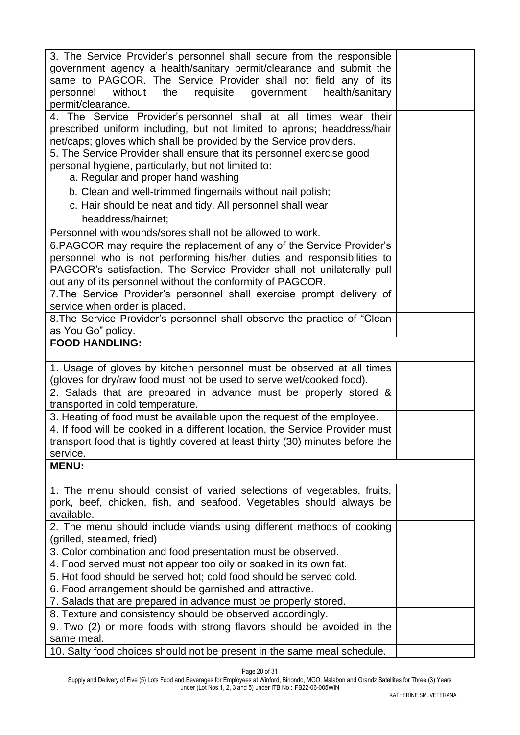| 3. The Service Provider's personnel shall secure from the responsible                 |  |
|---------------------------------------------------------------------------------------|--|
|                                                                                       |  |
| government agency a health/sanitary permit/clearance and submit the                   |  |
| same to PAGCOR. The Service Provider shall not field any of its                       |  |
| personnel without the requisite government<br>health/sanitary                         |  |
| permit/clearance.                                                                     |  |
| 4. The Service Provider's personnel shall at all times wear their                     |  |
| prescribed uniform including, but not limited to aprons; headdress/hair               |  |
| net/caps; gloves which shall be provided by the Service providers.                    |  |
| 5. The Service Provider shall ensure that its personnel exercise good                 |  |
| personal hygiene, particularly, but not limited to:                                   |  |
| a. Regular and proper hand washing                                                    |  |
|                                                                                       |  |
| b. Clean and well-trimmed fingernails without nail polish;                            |  |
| c. Hair should be neat and tidy. All personnel shall wear                             |  |
| headdress/hairnet:                                                                    |  |
| Personnel with wounds/sores shall not be allowed to work.                             |  |
| 6. PAGCOR may require the replacement of any of the Service Provider's                |  |
| personnel who is not performing his/her duties and responsibilities to                |  |
| PAGCOR's satisfaction. The Service Provider shall not unilaterally pull               |  |
|                                                                                       |  |
| out any of its personnel without the conformity of PAGCOR.                            |  |
| 7. The Service Provider's personnel shall exercise prompt delivery of                 |  |
| service when order is placed.                                                         |  |
| 8. The Service Provider's personnel shall observe the practice of "Clean              |  |
| as You Go" policy.                                                                    |  |
| <b>FOOD HANDLING:</b>                                                                 |  |
|                                                                                       |  |
| 1. Usage of gloves by kitchen personnel must be observed at all times                 |  |
| (gloves for dry/raw food must not be used to serve wet/cooked food).                  |  |
| 2. Salads that are prepared in advance must be properly stored &                      |  |
| transported in cold temperature.                                                      |  |
| 3. Heating of food must be available upon the request of the employee.                |  |
| 4. If food will be cooked in a different location, the Service Provider must          |  |
| transport food that is tightly covered at least thirty (30) minutes before the        |  |
| service.                                                                              |  |
| <b>MENU:</b>                                                                          |  |
|                                                                                       |  |
|                                                                                       |  |
| 1. The menu should consist of varied selections of vegetables, fruits,                |  |
| pork, beef, chicken, fish, and seafood. Vegetables should always be                   |  |
| available.                                                                            |  |
| 2. The menu should include viands using different methods of cooking                  |  |
| (grilled, steamed, fried)                                                             |  |
| 3. Color combination and food presentation must be observed.                          |  |
| 4. Food served must not appear too oily or soaked in its own fat.                     |  |
| 5. Hot food should be served hot; cold food should be served cold.                    |  |
| 6. Food arrangement should be garnished and attractive.                               |  |
| 7. Salads that are prepared in advance must be properly stored.                       |  |
| 8. Texture and consistency should be observed accordingly.                            |  |
| 9. Two (2) or more foods with strong flavors should be avoided in the                 |  |
|                                                                                       |  |
|                                                                                       |  |
| same meal.<br>10. Salty food choices should not be present in the same meal schedule. |  |

Page 20 of 31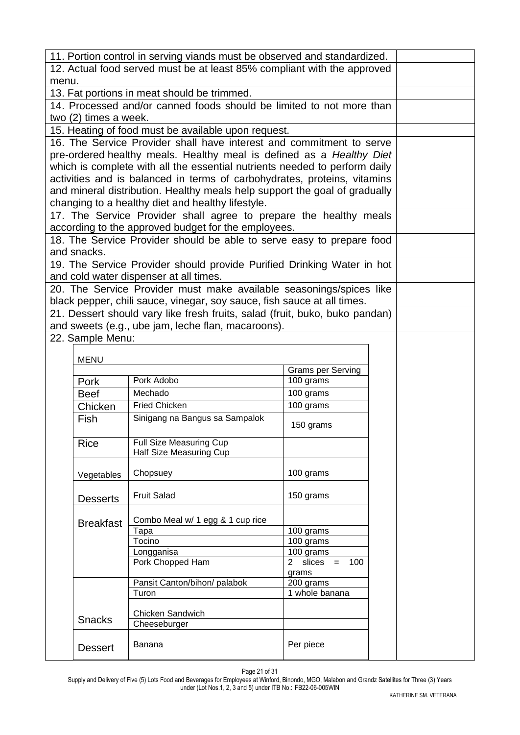| 11. Portion control in serving viands must be observed and standardized. |                       |                                                                             |                          |  |  |
|--------------------------------------------------------------------------|-----------------------|-----------------------------------------------------------------------------|--------------------------|--|--|
|                                                                          |                       | 12. Actual food served must be at least 85% compliant with the approved     |                          |  |  |
| menu.                                                                    |                       |                                                                             |                          |  |  |
|                                                                          |                       | 13. Fat portions in meat should be trimmed.                                 |                          |  |  |
|                                                                          |                       | 14. Processed and/or canned foods should be limited to not more than        |                          |  |  |
|                                                                          | two (2) times a week. |                                                                             |                          |  |  |
|                                                                          |                       | 15. Heating of food must be available upon request.                         |                          |  |  |
|                                                                          |                       | 16. The Service Provider shall have interest and commitment to serve        |                          |  |  |
|                                                                          |                       | pre-ordered healthy meals. Healthy meal is defined as a Healthy Diet        |                          |  |  |
|                                                                          |                       | which is complete with all the essential nutrients needed to perform daily  |                          |  |  |
|                                                                          |                       | activities and is balanced in terms of carbohydrates, proteins, vitamins    |                          |  |  |
|                                                                          |                       | and mineral distribution. Healthy meals help support the goal of gradually  |                          |  |  |
|                                                                          |                       | changing to a healthy diet and healthy lifestyle.                           |                          |  |  |
|                                                                          |                       | 17. The Service Provider shall agree to prepare the healthy meals           |                          |  |  |
|                                                                          |                       | according to the approved budget for the employees.                         |                          |  |  |
|                                                                          |                       | 18. The Service Provider should be able to serve easy to prepare food       |                          |  |  |
|                                                                          | and snacks.           |                                                                             |                          |  |  |
|                                                                          |                       | 19. The Service Provider should provide Purified Drinking Water in hot      |                          |  |  |
|                                                                          |                       | and cold water dispenser at all times.                                      |                          |  |  |
|                                                                          |                       | 20. The Service Provider must make available seasonings/spices like         |                          |  |  |
|                                                                          |                       | black pepper, chili sauce, vinegar, soy sauce, fish sauce at all times.     |                          |  |  |
|                                                                          |                       | 21. Dessert should vary like fresh fruits, salad (fruit, buko, buko pandan) |                          |  |  |
|                                                                          |                       | and sweets (e.g., ube jam, leche flan, macaroons).                          |                          |  |  |
|                                                                          | 22. Sample Menu:      |                                                                             |                          |  |  |
|                                                                          |                       |                                                                             |                          |  |  |
|                                                                          | <b>MENU</b>           |                                                                             | <b>Grams per Serving</b> |  |  |
|                                                                          | Pork                  | Pork Adobo                                                                  | 100 grams                |  |  |
|                                                                          | <b>Beef</b>           | Mechado                                                                     | 100 grams                |  |  |
|                                                                          | Chicken               | <b>Fried Chicken</b>                                                        | 100 grams                |  |  |
|                                                                          | Fish                  | Sinigang na Bangus sa Sampalok                                              |                          |  |  |
|                                                                          |                       |                                                                             | 150 grams                |  |  |
|                                                                          | Rice                  | <b>Full Size Measuring Cup</b>                                              |                          |  |  |
|                                                                          |                       | Half Size Measuring Cup                                                     |                          |  |  |
|                                                                          |                       |                                                                             |                          |  |  |
|                                                                          | Vegetables            | Chopsuey                                                                    | 100 grams                |  |  |
|                                                                          |                       |                                                                             |                          |  |  |
|                                                                          | <b>Desserts</b>       | <b>Fruit Salad</b>                                                          | 150 grams                |  |  |
|                                                                          |                       |                                                                             |                          |  |  |
|                                                                          | <b>Breakfast</b>      | Combo Meal w/ 1 egg & 1 cup rice<br>Tapa                                    | 100 grams                |  |  |
|                                                                          |                       | Tocino                                                                      | 100 grams                |  |  |
|                                                                          |                       | Longganisa                                                                  | 100 grams                |  |  |
|                                                                          |                       | Pork Chopped Ham                                                            | 2 slices $=$<br>100      |  |  |
|                                                                          |                       |                                                                             | grams                    |  |  |
|                                                                          |                       | Pansit Canton/bihon/ palabok                                                | 200 grams                |  |  |
|                                                                          |                       | Turon                                                                       | 1 whole banana           |  |  |
|                                                                          |                       | Chicken Sandwich                                                            |                          |  |  |
|                                                                          | <b>Snacks</b>         | Cheeseburger                                                                |                          |  |  |
|                                                                          |                       |                                                                             |                          |  |  |
|                                                                          | <b>Dessert</b>        | Banana                                                                      | Per piece                |  |  |

Page 21 of 31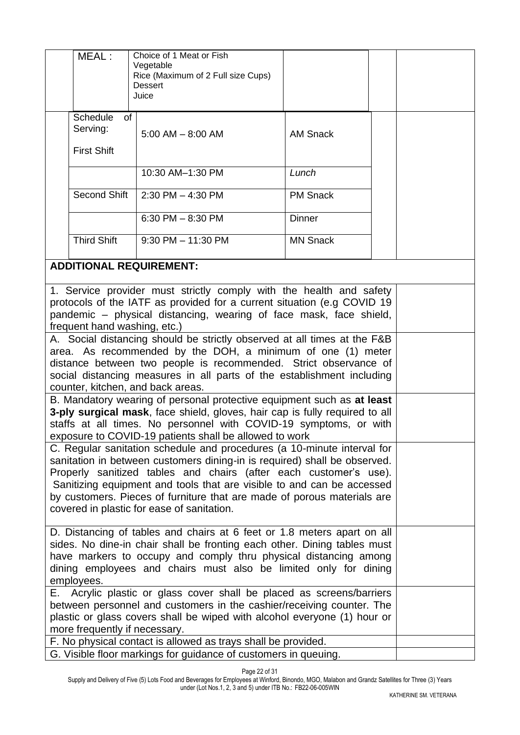|                                                                                                                                                                                                                                                                                                                                                                                                                              | MEAL:                                                                                                                                                                                                                                                    | Choice of 1 Meat or Fish<br>Vegetable<br>Rice (Maximum of 2 Full size Cups)<br><b>Dessert</b><br>Juice                                                                                                               |                 |  |  |
|------------------------------------------------------------------------------------------------------------------------------------------------------------------------------------------------------------------------------------------------------------------------------------------------------------------------------------------------------------------------------------------------------------------------------|----------------------------------------------------------------------------------------------------------------------------------------------------------------------------------------------------------------------------------------------------------|----------------------------------------------------------------------------------------------------------------------------------------------------------------------------------------------------------------------|-----------------|--|--|
|                                                                                                                                                                                                                                                                                                                                                                                                                              | <b>Schedule</b><br>of<br>Serving:<br><b>First Shift</b>                                                                                                                                                                                                  | $5:00$ AM $-$ 8:00 AM                                                                                                                                                                                                | <b>AM Snack</b> |  |  |
|                                                                                                                                                                                                                                                                                                                                                                                                                              |                                                                                                                                                                                                                                                          | 10:30 AM-1:30 PM                                                                                                                                                                                                     | Lunch           |  |  |
|                                                                                                                                                                                                                                                                                                                                                                                                                              | Second Shift                                                                                                                                                                                                                                             | $2:30$ PM $-$ 4:30 PM                                                                                                                                                                                                | <b>PM Snack</b> |  |  |
|                                                                                                                                                                                                                                                                                                                                                                                                                              |                                                                                                                                                                                                                                                          | 6:30 PM $-$ 8:30 PM                                                                                                                                                                                                  | <b>Dinner</b>   |  |  |
|                                                                                                                                                                                                                                                                                                                                                                                                                              | <b>Third Shift</b>                                                                                                                                                                                                                                       | $9:30$ PM $- 11:30$ PM                                                                                                                                                                                               | <b>MN Snack</b> |  |  |
|                                                                                                                                                                                                                                                                                                                                                                                                                              |                                                                                                                                                                                                                                                          | <b>ADDITIONAL REQUIREMENT:</b>                                                                                                                                                                                       |                 |  |  |
|                                                                                                                                                                                                                                                                                                                                                                                                                              | frequent hand washing, etc.)                                                                                                                                                                                                                             | 1. Service provider must strictly comply with the health and safety<br>protocols of the IATF as provided for a current situation (e.g COVID 19<br>pandemic – physical distancing, wearing of face mask, face shield, |                 |  |  |
| A. Social distancing should be strictly observed at all times at the F&B<br>area. As recommended by the DOH, a minimum of one (1) meter<br>distance between two people is recommended. Strict observance of<br>social distancing measures in all parts of the establishment including<br>counter, kitchen, and back areas.                                                                                                   |                                                                                                                                                                                                                                                          |                                                                                                                                                                                                                      |                 |  |  |
| B. Mandatory wearing of personal protective equipment such as at least<br>3-ply surgical mask, face shield, gloves, hair cap is fully required to all<br>staffs at all times. No personnel with COVID-19 symptoms, or with<br>exposure to COVID-19 patients shall be allowed to work                                                                                                                                         |                                                                                                                                                                                                                                                          |                                                                                                                                                                                                                      |                 |  |  |
| C. Regular sanitation schedule and procedures (a 10-minute interval for<br>sanitation in between customers dining-in is required) shall be observed.<br>Properly sanitized tables and chairs (after each customer's use).<br>Sanitizing equipment and tools that are visible to and can be accessed<br>by customers. Pieces of furniture that are made of porous materials are<br>covered in plastic for ease of sanitation. |                                                                                                                                                                                                                                                          |                                                                                                                                                                                                                      |                 |  |  |
| D. Distancing of tables and chairs at 6 feet or 1.8 meters apart on all<br>sides. No dine-in chair shall be fronting each other. Dining tables must<br>have markers to occupy and comply thru physical distancing among<br>dining employees and chairs must also be limited only for dining<br>employees.                                                                                                                    |                                                                                                                                                                                                                                                          |                                                                                                                                                                                                                      |                 |  |  |
| Е.                                                                                                                                                                                                                                                                                                                                                                                                                           | Acrylic plastic or glass cover shall be placed as screens/barriers<br>between personnel and customers in the cashier/receiving counter. The<br>plastic or glass covers shall be wiped with alcohol everyone (1) hour or<br>more frequently if necessary. |                                                                                                                                                                                                                      |                 |  |  |
| F. No physical contact is allowed as trays shall be provided.<br>G. Visible floor markings for guidance of customers in queuing.                                                                                                                                                                                                                                                                                             |                                                                                                                                                                                                                                                          |                                                                                                                                                                                                                      |                 |  |  |

Page 22 of 31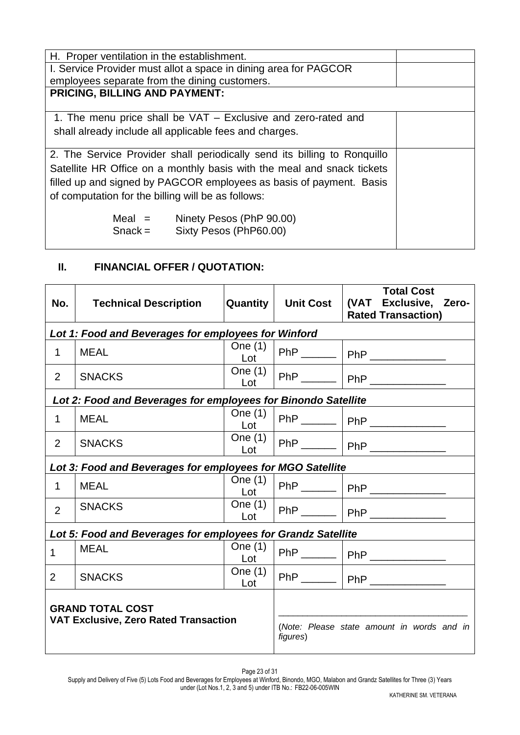| H. Proper ventilation in the establishment.                              |  |  |  |
|--------------------------------------------------------------------------|--|--|--|
| I. Service Provider must allot a space in dining area for PAGCOR         |  |  |  |
| employees separate from the dining customers.                            |  |  |  |
| <b>PRICING, BILLING AND PAYMENT:</b>                                     |  |  |  |
|                                                                          |  |  |  |
| 1. The menu price shall be VAT - Exclusive and zero-rated and            |  |  |  |
| shall already include all applicable fees and charges.                   |  |  |  |
|                                                                          |  |  |  |
| 2. The Service Provider shall periodically send its billing to Ronquillo |  |  |  |
| Satellite HR Office on a monthly basis with the meal and snack tickets   |  |  |  |
|                                                                          |  |  |  |
| filled up and signed by PAGCOR employees as basis of payment. Basis      |  |  |  |
| of computation for the billing will be as follows:                       |  |  |  |
|                                                                          |  |  |  |
| $Meal =$<br>Ninety Pesos (PhP 90.00)                                     |  |  |  |
| $Snack =$<br>Sixty Pesos (PhP60.00)                                      |  |  |  |
|                                                                          |  |  |  |

# **II. FINANCIAL OFFER / QUOTATION:**

| No.                                                                     | <b>Technical Description</b>                                  | Quantity         | <b>Unit Cost</b> | <b>Total Cost</b><br>(VAT Exclusive,<br>Zero-<br><b>Rated Transaction)</b> |
|-------------------------------------------------------------------------|---------------------------------------------------------------|------------------|------------------|----------------------------------------------------------------------------|
|                                                                         | Lot 1: Food and Beverages for employees for Winford           |                  |                  |                                                                            |
| 1                                                                       | <b>MEAL</b>                                                   | One $(1)$<br>Lot |                  | PhP _______   PhP ____________                                             |
| $\overline{2}$                                                          | <b>SNACKS</b>                                                 | One $(1)$<br>Lot |                  | PhP _______   PhP _____________                                            |
|                                                                         | Lot 2: Food and Beverages for employees for Binondo Satellite |                  |                  |                                                                            |
| 1                                                                       | <b>MEAL</b>                                                   | One $(1)$<br>Lot |                  | PhP _______   PhP _____________                                            |
| 2                                                                       | <b>SNACKS</b>                                                 | One $(1)$<br>Lot |                  |                                                                            |
|                                                                         | Lot 3: Food and Beverages for employees for MGO Satellite     |                  |                  |                                                                            |
| 1                                                                       | <b>MEAL</b>                                                   | One $(1)$<br>Lot |                  | PhP _______   PhP _____________                                            |
| $\overline{2}$                                                          | <b>SNACKS</b>                                                 | One $(1)$<br>Lot |                  | PhP _______   PhP ____________                                             |
|                                                                         | Lot 5: Food and Beverages for employees for Grandz Satellite  |                  |                  |                                                                            |
| 1                                                                       | <b>MEAL</b>                                                   | One (1)<br>Lot   |                  | PhP _______   PhP ____________                                             |
| $\overline{2}$                                                          | <b>SNACKS</b>                                                 | One $(1)$<br>Lot |                  | PhP _______   PhP _____________                                            |
| <b>GRAND TOTAL COST</b><br><b>VAT Exclusive, Zero Rated Transaction</b> |                                                               |                  | figures)         | (Note: Please state amount in words and in                                 |

Page 23 of 31

Supply and Delivery of Five (5) Lots Food and Beverages for Employees at Winford, Binondo, MGO, Malabon and Grandz Satellites for Three (3) Years under (Lot Nos.1, 2, 3 and 5) under ITB No.: FB22-06-005WIN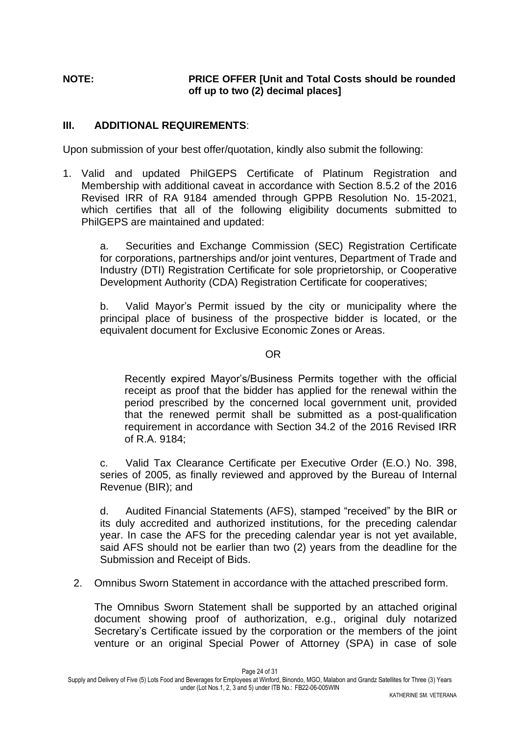# **NOTE: PRICE OFFER [Unit and Total Costs should be rounded off up to two (2) decimal places]**

### **III. ADDITIONAL REQUIREMENTS**:

Upon submission of your best offer/quotation, kindly also submit the following:

1. Valid and updated PhilGEPS Certificate of Platinum Registration and Membership with additional caveat in accordance with Section 8.5.2 of the 2016 Revised IRR of RA 9184 amended through GPPB Resolution No. 15-2021, which certifies that all of the following eligibility documents submitted to PhilGEPS are maintained and updated:

a. Securities and Exchange Commission (SEC) Registration Certificate for corporations, partnerships and/or joint ventures, Department of Trade and Industry (DTI) Registration Certificate for sole proprietorship, or Cooperative Development Authority (CDA) Registration Certificate for cooperatives;

b. Valid Mayor's Permit issued by the city or municipality where the principal place of business of the prospective bidder is located, or the equivalent document for Exclusive Economic Zones or Areas.

### **OR** Service Service Service Service Service Service Service Service Service Service Service Service Service Service Service Service Service Service Service Service Service Service Service Service Service Service Service S

Recently expired Mayor's/Business Permits together with the official receipt as proof that the bidder has applied for the renewal within the period prescribed by the concerned local government unit, provided that the renewed permit shall be submitted as a post-qualification requirement in accordance with Section 34.2 of the 2016 Revised IRR of R.A. 9184;

c. Valid Tax Clearance Certificate per Executive Order (E.O.) No. 398, series of 2005, as finally reviewed and approved by the Bureau of Internal Revenue (BIR); and

d. Audited Financial Statements (AFS), stamped "received" by the BIR or its duly accredited and authorized institutions, for the preceding calendar year. In case the AFS for the preceding calendar year is not yet available, said AFS should not be earlier than two (2) years from the deadline for the Submission and Receipt of Bids.

2. Omnibus Sworn Statement in accordance with the attached prescribed form.

The Omnibus Sworn Statement shall be supported by an attached original document showing proof of authorization, e.g., original duly notarized Secretary's Certificate issued by the corporation or the members of the joint venture or an original Special Power of Attorney (SPA) in case of sole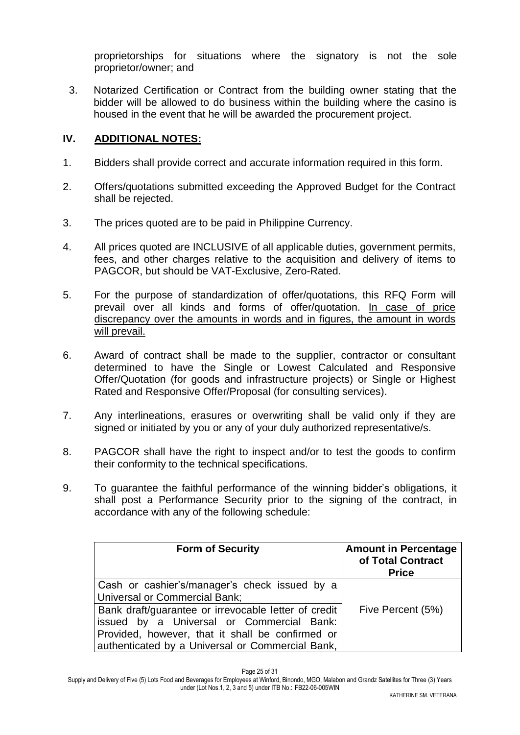proprietorships for situations where the signatory is not the sole proprietor/owner; and

3. Notarized Certification or Contract from the building owner stating that the bidder will be allowed to do business within the building where the casino is housed in the event that he will be awarded the procurement project.

### **IV. ADDITIONAL NOTES:**

- 1. Bidders shall provide correct and accurate information required in this form.
- 2. Offers/quotations submitted exceeding the Approved Budget for the Contract shall be rejected.
- 3. The prices quoted are to be paid in Philippine Currency.
- 4. All prices quoted are INCLUSIVE of all applicable duties, government permits, fees, and other charges relative to the acquisition and delivery of items to PAGCOR, but should be VAT-Exclusive, Zero-Rated.
- 5. For the purpose of standardization of offer/quotations, this RFQ Form will prevail over all kinds and forms of offer/quotation. In case of price discrepancy over the amounts in words and in figures, the amount in words will prevail.
- 6. Award of contract shall be made to the supplier, contractor or consultant determined to have the Single or Lowest Calculated and Responsive Offer/Quotation (for goods and infrastructure projects) or Single or Highest Rated and Responsive Offer/Proposal (for consulting services).
- 7. Any interlineations, erasures or overwriting shall be valid only if they are signed or initiated by you or any of your duly authorized representative/s.
- 8. PAGCOR shall have the right to inspect and/or to test the goods to confirm their conformity to the technical specifications.
- 9. To guarantee the faithful performance of the winning bidder's obligations, it shall post a Performance Security prior to the signing of the contract, in accordance with any of the following schedule:

| <b>Form of Security</b>                                                                                                                                                                                   | <b>Amount in Percentage</b><br>of Total Contract<br><b>Price</b> |
|-----------------------------------------------------------------------------------------------------------------------------------------------------------------------------------------------------------|------------------------------------------------------------------|
| Cash or cashier's/manager's check issued by a<br><b>Universal or Commercial Bank;</b>                                                                                                                     |                                                                  |
| Bank draft/guarantee or irrevocable letter of credit<br>issued by a Universal or Commercial Bank:<br>Provided, however, that it shall be confirmed or<br>authenticated by a Universal or Commercial Bank, | Five Percent (5%)                                                |

Page 25 of 31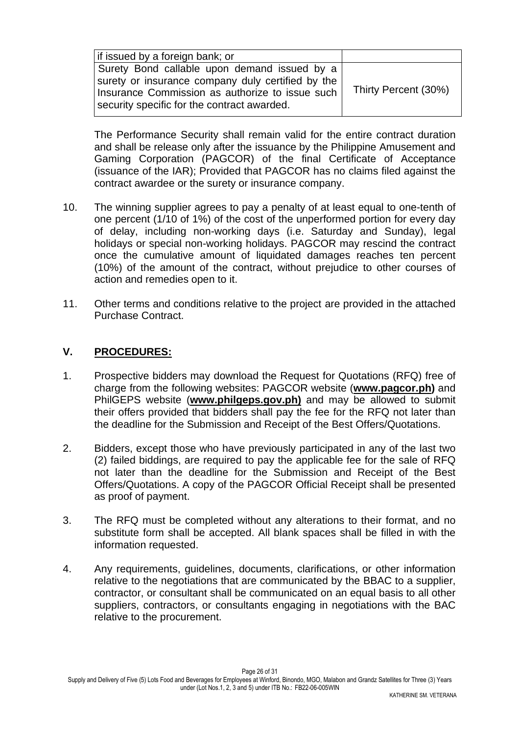| If issued by a foreign bank; or                                                                                                                                                                     |                      |
|-----------------------------------------------------------------------------------------------------------------------------------------------------------------------------------------------------|----------------------|
| Surety Bond callable upon demand issued by a<br>surety or insurance company duly certified by the<br>Insurance Commission as authorize to issue such<br>security specific for the contract awarded. | Thirty Percent (30%) |

The Performance Security shall remain valid for the entire contract duration and shall be release only after the issuance by the Philippine Amusement and Gaming Corporation (PAGCOR) of the final Certificate of Acceptance (issuance of the IAR); Provided that PAGCOR has no claims filed against the contract awardee or the surety or insurance company.

- 10. The winning supplier agrees to pay a penalty of at least equal to one-tenth of one percent (1/10 of 1%) of the cost of the unperformed portion for every day of delay, including non-working days (i.e. Saturday and Sunday), legal holidays or special non-working holidays. PAGCOR may rescind the contract once the cumulative amount of liquidated damages reaches ten percent (10%) of the amount of the contract, without prejudice to other courses of action and remedies open to it.
- 11. Other terms and conditions relative to the project are provided in the attached Purchase Contract.

## **V. PROCEDURES:**

- 1. Prospective bidders may download the Request for Quotations (RFQ) free of charge from the following websites: PAGCOR website (**[www.pagcor.ph\)](http://www.pagcor.ph/)** and PhilGEPS website (**www.philgeps.gov.ph)** and may be allowed to submit their offers provided that bidders shall pay the fee for the RFQ not later than the deadline for the Submission and Receipt of the Best Offers/Quotations.
- 2. Bidders, except those who have previously participated in any of the last two (2) failed biddings, are required to pay the applicable fee for the sale of RFQ not later than the deadline for the Submission and Receipt of the Best Offers/Quotations. A copy of the PAGCOR Official Receipt shall be presented as proof of payment.
- 3. The RFQ must be completed without any alterations to their format, and no substitute form shall be accepted. All blank spaces shall be filled in with the information requested.
- 4. Any requirements, guidelines, documents, clarifications, or other information relative to the negotiations that are communicated by the BBAC to a supplier, contractor, or consultant shall be communicated on an equal basis to all other suppliers, contractors, or consultants engaging in negotiations with the BAC relative to the procurement.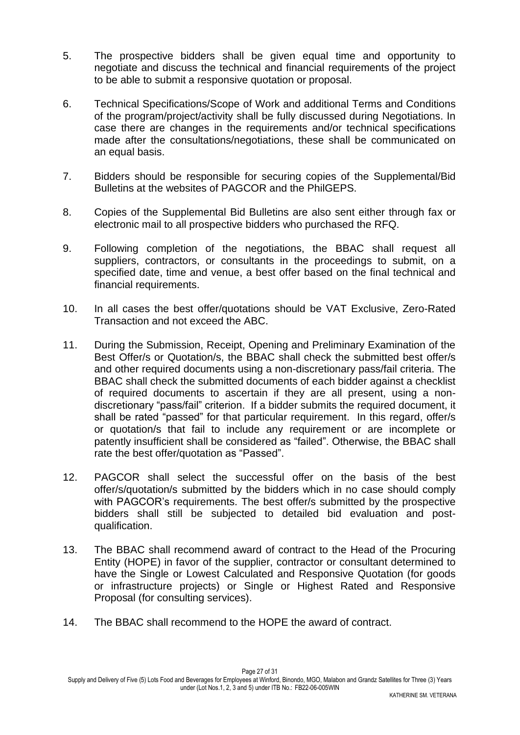- 5. The prospective bidders shall be given equal time and opportunity to negotiate and discuss the technical and financial requirements of the project to be able to submit a responsive quotation or proposal.
- 6. Technical Specifications/Scope of Work and additional Terms and Conditions of the program/project/activity shall be fully discussed during Negotiations. In case there are changes in the requirements and/or technical specifications made after the consultations/negotiations, these shall be communicated on an equal basis.
- 7. Bidders should be responsible for securing copies of the Supplemental/Bid Bulletins at the websites of PAGCOR and the PhilGEPS.
- 8. Copies of the Supplemental Bid Bulletins are also sent either through fax or electronic mail to all prospective bidders who purchased the RFQ.
- 9. Following completion of the negotiations, the BBAC shall request all suppliers, contractors, or consultants in the proceedings to submit, on a specified date, time and venue, a best offer based on the final technical and financial requirements.
- 10. In all cases the best offer/quotations should be VAT Exclusive, Zero-Rated Transaction and not exceed the ABC.
- 11. During the Submission, Receipt, Opening and Preliminary Examination of the Best Offer/s or Quotation/s, the BBAC shall check the submitted best offer/s and other required documents using a non-discretionary pass/fail criteria. The BBAC shall check the submitted documents of each bidder against a checklist of required documents to ascertain if they are all present, using a nondiscretionary "pass/fail" criterion. If a bidder submits the required document, it shall be rated "passed" for that particular requirement. In this regard, offer/s or quotation/s that fail to include any requirement or are incomplete or patently insufficient shall be considered as "failed". Otherwise, the BBAC shall rate the best offer/quotation as "Passed".
- 12. PAGCOR shall select the successful offer on the basis of the best offer/s/quotation/s submitted by the bidders which in no case should comply with PAGCOR's requirements. The best offer/s submitted by the prospective bidders shall still be subjected to detailed bid evaluation and postqualification.
- 13. The BBAC shall recommend award of contract to the Head of the Procuring Entity (HOPE) in favor of the supplier, contractor or consultant determined to have the Single or Lowest Calculated and Responsive Quotation (for goods or infrastructure projects) or Single or Highest Rated and Responsive Proposal (for consulting services).
- 14. The BBAC shall recommend to the HOPE the award of contract.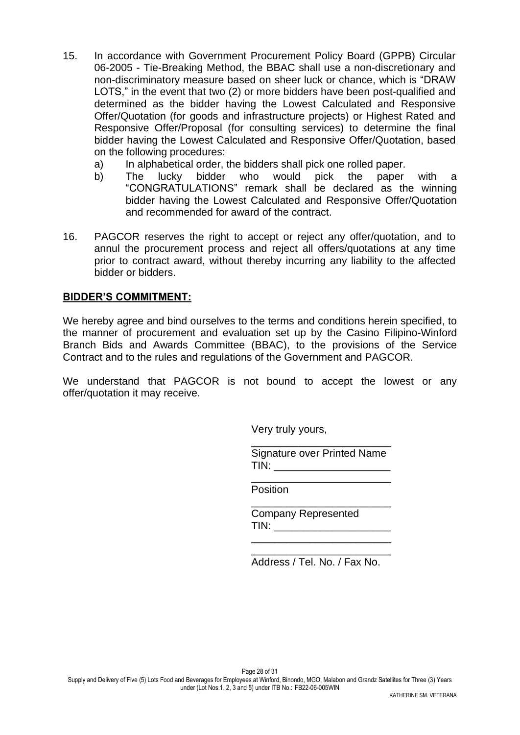- 15. In accordance with Government Procurement Policy Board (GPPB) Circular 06-2005 - Tie-Breaking Method, the BBAC shall use a non-discretionary and non-discriminatory measure based on sheer luck or chance, which is "DRAW LOTS," in the event that two (2) or more bidders have been post-qualified and determined as the bidder having the Lowest Calculated and Responsive Offer/Quotation (for goods and infrastructure projects) or Highest Rated and Responsive Offer/Proposal (for consulting services) to determine the final bidder having the Lowest Calculated and Responsive Offer/Quotation, based on the following procedures:
	- a) In alphabetical order, the bidders shall pick one rolled paper.
	- b) The lucky bidder who would pick the paper with a "CONGRATULATIONS" remark shall be declared as the winning bidder having the Lowest Calculated and Responsive Offer/Quotation and recommended for award of the contract.
- 16. PAGCOR reserves the right to accept or reject any offer/quotation, and to annul the procurement process and reject all offers/quotations at any time prior to contract award, without thereby incurring any liability to the affected bidder or bidders.

### **BIDDER'S COMMITMENT:**

We hereby agree and bind ourselves to the terms and conditions herein specified, to the manner of procurement and evaluation set up by the Casino Filipino-Winford Branch Bids and Awards Committee (BBAC), to the provisions of the Service Contract and to the rules and regulations of the Government and PAGCOR.

We understand that PAGCOR is not bound to accept the lowest or any offer/quotation it may receive.

Very truly yours,

\_\_\_\_\_\_\_\_\_\_\_\_\_\_\_\_\_\_\_\_\_\_\_\_ Signature over Printed Name  $TIN:$ 

\_\_\_\_\_\_\_\_\_\_\_\_\_\_\_\_\_\_\_\_\_\_\_\_

\_\_\_\_\_\_\_\_\_\_\_\_\_\_\_\_\_\_\_\_\_\_\_\_

Position

Company Represented  $TIN:$ 

 $\frac{1}{\sqrt{2}}$  ,  $\frac{1}{\sqrt{2}}$  ,  $\frac{1}{\sqrt{2}}$  ,  $\frac{1}{\sqrt{2}}$  ,  $\frac{1}{\sqrt{2}}$  ,  $\frac{1}{\sqrt{2}}$  ,  $\frac{1}{\sqrt{2}}$  ,  $\frac{1}{\sqrt{2}}$  ,  $\frac{1}{\sqrt{2}}$  ,  $\frac{1}{\sqrt{2}}$  ,  $\frac{1}{\sqrt{2}}$  ,  $\frac{1}{\sqrt{2}}$  ,  $\frac{1}{\sqrt{2}}$  ,  $\frac{1}{\sqrt{2}}$  ,  $\frac{1}{\sqrt{2}}$ 

\_\_\_\_\_\_\_\_\_\_\_\_\_\_\_\_\_\_\_\_\_\_\_\_ Address / Tel. No. / Fax No.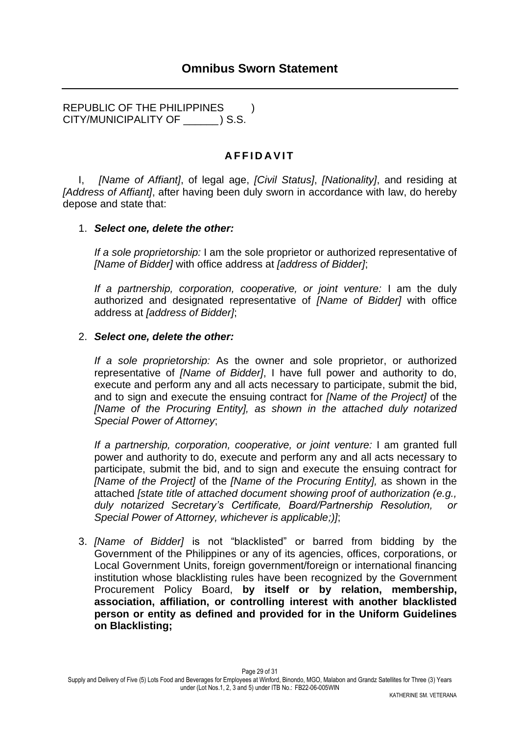REPUBLIC OF THE PHILIPPINES ) CITY/MUNICIPALITY OF \_\_\_\_\_\_ ) S.S.

## **A F F I D A V I T**

I, *[Name of Affiant]*, of legal age, *[Civil Status]*, *[Nationality]*, and residing at *[Address of Affiant]*, after having been duly sworn in accordance with law, do hereby depose and state that:

#### 1. *Select one, delete the other:*

*If a sole proprietorship:* I am the sole proprietor or authorized representative of *[Name of Bidder]* with office address at *[address of Bidder]*;

*If a partnership, corporation, cooperative, or joint venture:* I am the duly authorized and designated representative of *[Name of Bidder]* with office address at *[address of Bidder]*;

#### 2. *Select one, delete the other:*

*If a sole proprietorship:* As the owner and sole proprietor, or authorized representative of *[Name of Bidder]*, I have full power and authority to do, execute and perform any and all acts necessary to participate, submit the bid, and to sign and execute the ensuing contract for *[Name of the Project]* of the *[Name of the Procuring Entity], as shown in the attached duly notarized Special Power of Attorney*;

*If a partnership, corporation, cooperative, or joint venture:* I am granted full power and authority to do, execute and perform any and all acts necessary to participate, submit the bid, and to sign and execute the ensuing contract for *[Name of the Project]* of the *[Name of the Procuring Entity],* as shown in the attached *[state title of attached document showing proof of authorization (e.g., duly notarized Secretary's Certificate, Board/Partnership Resolution, or Special Power of Attorney, whichever is applicable;)]*;

3. *[Name of Bidder]* is not "blacklisted" or barred from bidding by the Government of the Philippines or any of its agencies, offices, corporations, or Local Government Units, foreign government/foreign or international financing institution whose blacklisting rules have been recognized by the Government Procurement Policy Board, **by itself or by relation, membership, association, affiliation, or controlling interest with another blacklisted person or entity as defined and provided for in the Uniform Guidelines on Blacklisting;**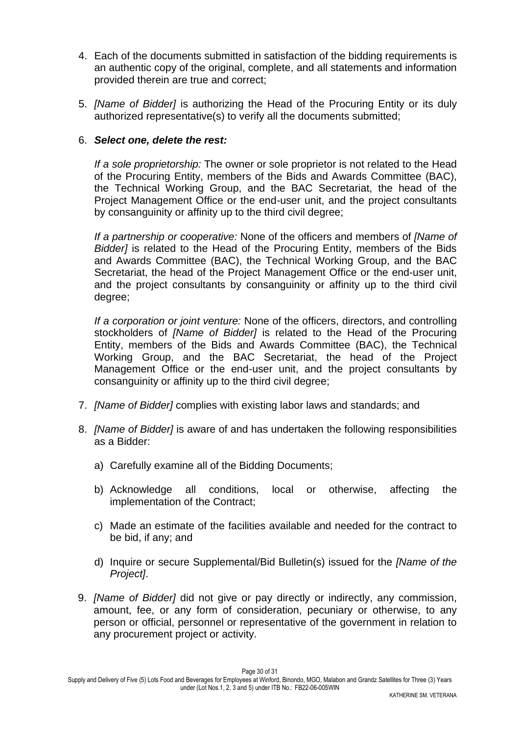- 4. Each of the documents submitted in satisfaction of the bidding requirements is an authentic copy of the original, complete, and all statements and information provided therein are true and correct;
- 5. *[Name of Bidder]* is authorizing the Head of the Procuring Entity or its duly authorized representative(s) to verify all the documents submitted;

### 6. *Select one, delete the rest:*

*If a sole proprietorship:* The owner or sole proprietor is not related to the Head of the Procuring Entity, members of the Bids and Awards Committee (BAC), the Technical Working Group, and the BAC Secretariat, the head of the Project Management Office or the end-user unit, and the project consultants by consanguinity or affinity up to the third civil degree;

*If a partnership or cooperative:* None of the officers and members of *[Name of Bidder]* is related to the Head of the Procuring Entity, members of the Bids and Awards Committee (BAC), the Technical Working Group, and the BAC Secretariat, the head of the Project Management Office or the end-user unit, and the project consultants by consanguinity or affinity up to the third civil degree;

*If a corporation or joint venture:* None of the officers, directors, and controlling stockholders of *[Name of Bidder]* is related to the Head of the Procuring Entity, members of the Bids and Awards Committee (BAC), the Technical Working Group, and the BAC Secretariat, the head of the Project Management Office or the end-user unit, and the project consultants by consanguinity or affinity up to the third civil degree;

- 7. *[Name of Bidder]* complies with existing labor laws and standards; and
- 8. *[Name of Bidder]* is aware of and has undertaken the following responsibilities as a Bidder:
	- a) Carefully examine all of the Bidding Documents;
	- b) Acknowledge all conditions, local or otherwise, affecting the implementation of the Contract;
	- c) Made an estimate of the facilities available and needed for the contract to be bid, if any; and
	- d) Inquire or secure Supplemental/Bid Bulletin(s) issued for the *[Name of the Project]*.
- 9. *[Name of Bidder]* did not give or pay directly or indirectly, any commission, amount, fee, or any form of consideration, pecuniary or otherwise, to any person or official, personnel or representative of the government in relation to any procurement project or activity.